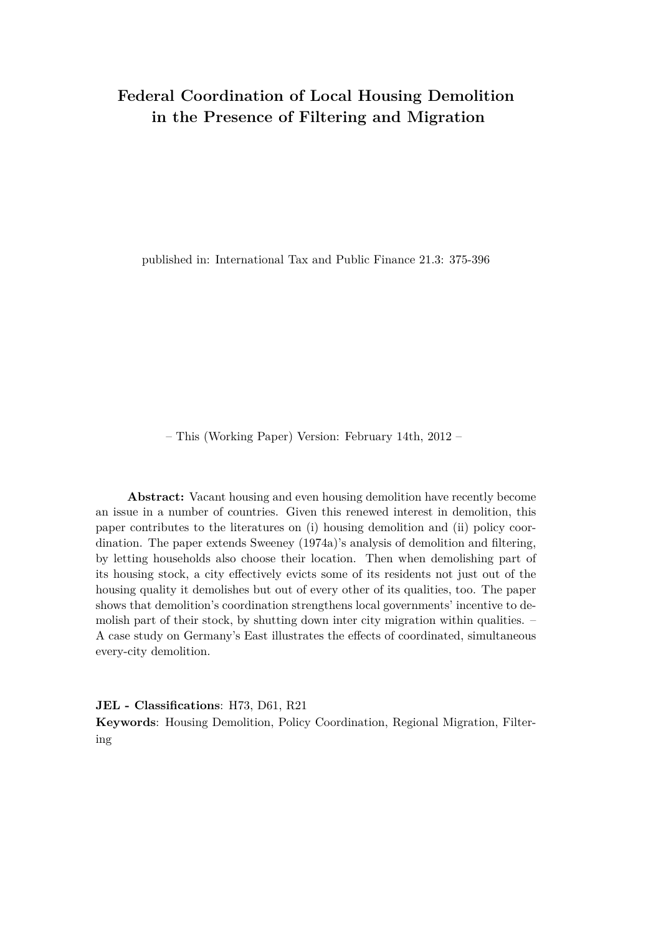# **Federal Coordination of Local Housing Demolition in the Presence of Filtering and Migration**

published in: International Tax and Public Finance 21.3: 375-396

– This (Working Paper) Version: February 14th, 2012 –

**Abstract:** Vacant housing and even housing demolition have recently become an issue in a number of countries. Given this renewed interest in demolition, this paper contributes to the literatures on (i) housing demolition and (ii) policy coordination. The paper extends Sweeney (1974a)'s analysis of demolition and filtering, by letting households also choose their location. Then when demolishing part of its housing stock, a city effectively evicts some of its residents not just out of the housing quality it demolishes but out of every other of its qualities, too. The paper shows that demolition's coordination strengthens local governments' incentive to demolish part of their stock, by shutting down inter city migration within qualities. – A case study on Germany's East illustrates the effects of coordinated, simultaneous every-city demolition.

**JEL - Classifications**: H73, D61, R21

**Keywords**: Housing Demolition, Policy Coordination, Regional Migration, Filtering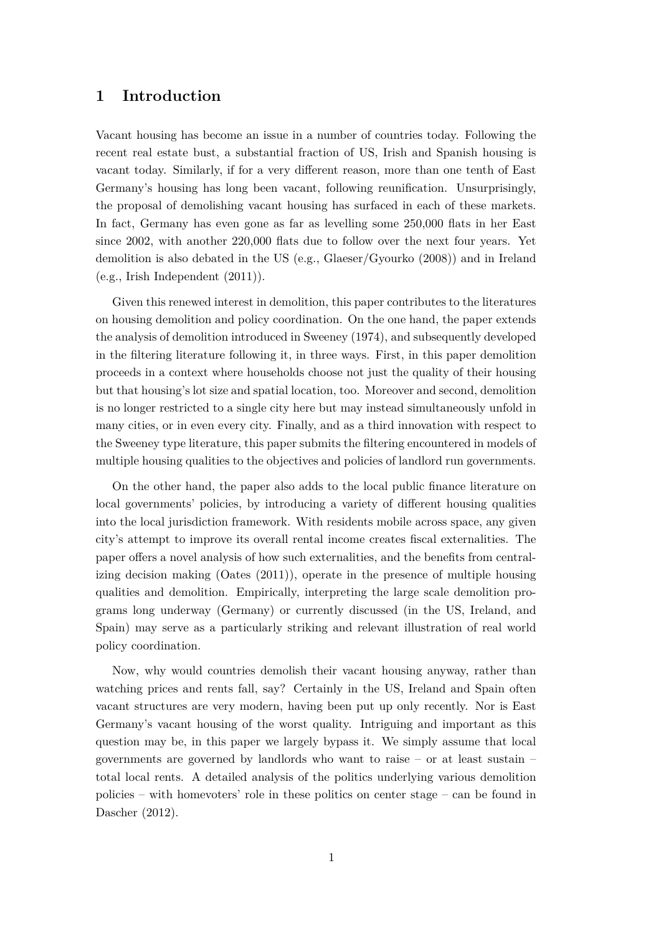## **1 Introduction**

Vacant housing has become an issue in a number of countries today. Following the recent real estate bust, a substantial fraction of US, Irish and Spanish housing is vacant today. Similarly, if for a very different reason, more than one tenth of East Germany's housing has long been vacant, following reunification. Unsurprisingly, the proposal of demolishing vacant housing has surfaced in each of these markets. In fact, Germany has even gone as far as levelling some 250,000 flats in her East since 2002, with another 220,000 flats due to follow over the next four years. Yet demolition is also debated in the US (e.g., Glaeser/Gyourko (2008)) and in Ireland (e.g., Irish Independent (2011)).

Given this renewed interest in demolition, this paper contributes to the literatures on housing demolition and policy coordination. On the one hand, the paper extends the analysis of demolition introduced in Sweeney (1974), and subsequently developed in the filtering literature following it, in three ways. First, in this paper demolition proceeds in a context where households choose not just the quality of their housing but that housing's lot size and spatial location, too. Moreover and second, demolition is no longer restricted to a single city here but may instead simultaneously unfold in many cities, or in even every city. Finally, and as a third innovation with respect to the Sweeney type literature, this paper submits the filtering encountered in models of multiple housing qualities to the objectives and policies of landlord run governments.

On the other hand, the paper also adds to the local public finance literature on local governments' policies, by introducing a variety of different housing qualities into the local jurisdiction framework. With residents mobile across space, any given city's attempt to improve its overall rental income creates fiscal externalities. The paper offers a novel analysis of how such externalities, and the benefits from centralizing decision making (Oates (2011)), operate in the presence of multiple housing qualities and demolition. Empirically, interpreting the large scale demolition programs long underway (Germany) or currently discussed (in the US, Ireland, and Spain) may serve as a particularly striking and relevant illustration of real world policy coordination.

Now, why would countries demolish their vacant housing anyway, rather than watching prices and rents fall, say? Certainly in the US, Ireland and Spain often vacant structures are very modern, having been put up only recently. Nor is East Germany's vacant housing of the worst quality. Intriguing and important as this question may be, in this paper we largely bypass it. We simply assume that local governments are governed by landlords who want to raise – or at least sustain – total local rents. A detailed analysis of the politics underlying various demolition policies – with homevoters' role in these politics on center stage – can be found in Dascher (2012).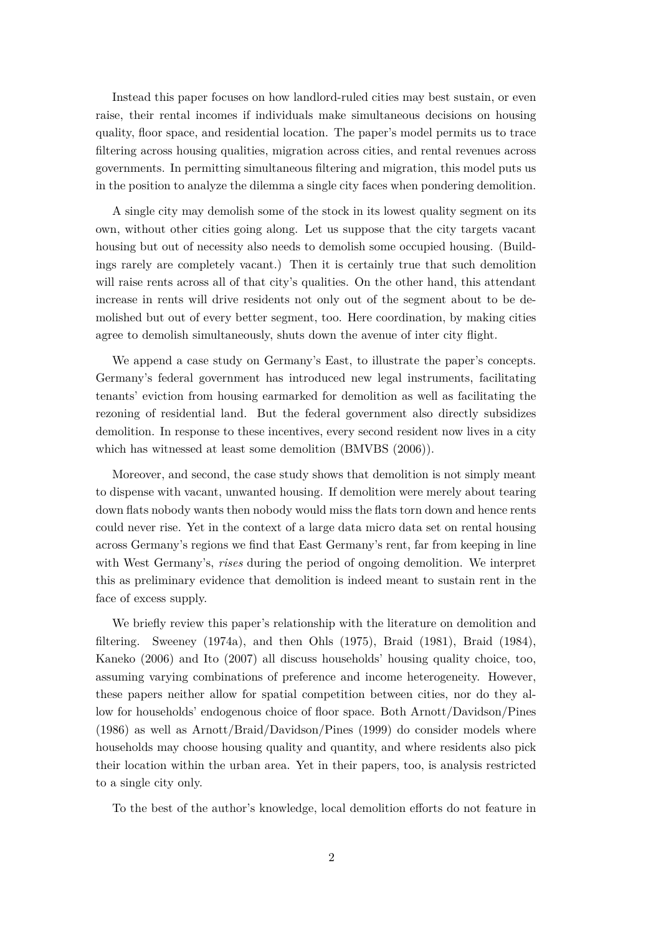Instead this paper focuses on how landlord-ruled cities may best sustain, or even raise, their rental incomes if individuals make simultaneous decisions on housing quality, floor space, and residential location. The paper's model permits us to trace filtering across housing qualities, migration across cities, and rental revenues across governments. In permitting simultaneous filtering and migration, this model puts us in the position to analyze the dilemma a single city faces when pondering demolition.

A single city may demolish some of the stock in its lowest quality segment on its own, without other cities going along. Let us suppose that the city targets vacant housing but out of necessity also needs to demolish some occupied housing. (Buildings rarely are completely vacant.) Then it is certainly true that such demolition will raise rents across all of that city's qualities. On the other hand, this attendant increase in rents will drive residents not only out of the segment about to be demolished but out of every better segment, too. Here coordination, by making cities agree to demolish simultaneously, shuts down the avenue of inter city flight.

We append a case study on Germany's East, to illustrate the paper's concepts. Germany's federal government has introduced new legal instruments, facilitating tenants' eviction from housing earmarked for demolition as well as facilitating the rezoning of residential land. But the federal government also directly subsidizes demolition. In response to these incentives, every second resident now lives in a city which has witnessed at least some demolition (BMVBS (2006)).

Moreover, and second, the case study shows that demolition is not simply meant to dispense with vacant, unwanted housing. If demolition were merely about tearing down flats nobody wants then nobody would miss the flats torn down and hence rents could never rise. Yet in the context of a large data micro data set on rental housing across Germany's regions we find that East Germany's rent, far from keeping in line with West Germany's, *rises* during the period of ongoing demolition. We interpret this as preliminary evidence that demolition is indeed meant to sustain rent in the face of excess supply.

We briefly review this paper's relationship with the literature on demolition and filtering. Sweeney (1974a), and then Ohls (1975), Braid (1981), Braid (1984), Kaneko (2006) and Ito (2007) all discuss households' housing quality choice, too, assuming varying combinations of preference and income heterogeneity. However, these papers neither allow for spatial competition between cities, nor do they allow for households' endogenous choice of floor space. Both Arnott/Davidson/Pines (1986) as well as Arnott/Braid/Davidson/Pines (1999) do consider models where households may choose housing quality and quantity, and where residents also pick their location within the urban area. Yet in their papers, too, is analysis restricted to a single city only.

To the best of the author's knowledge, local demolition efforts do not feature in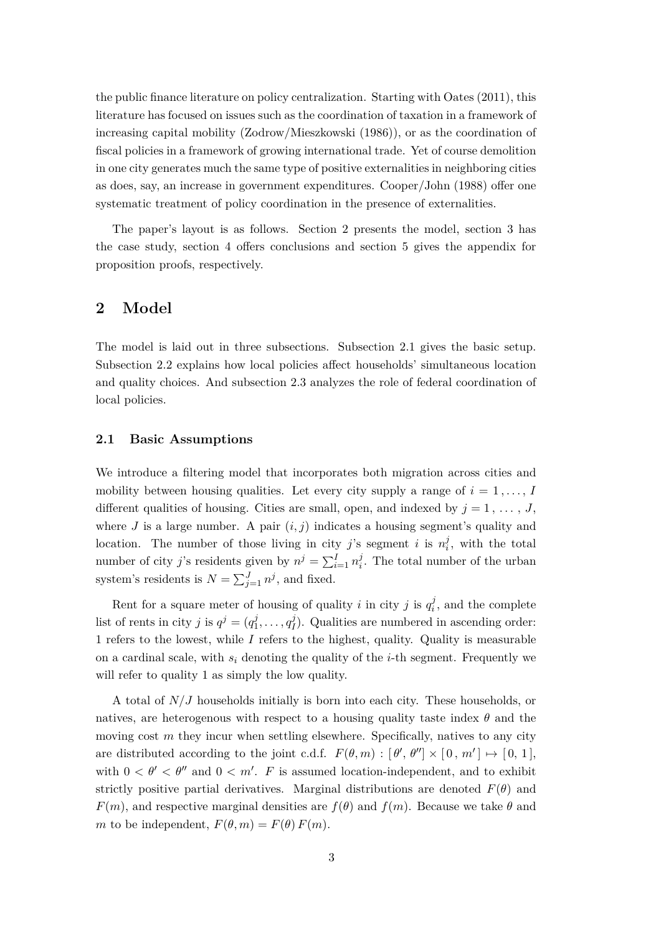the public finance literature on policy centralization. Starting with Oates (2011), this literature has focused on issues such as the coordination of taxation in a framework of increasing capital mobility (Zodrow/Mieszkowski (1986)), or as the coordination of fiscal policies in a framework of growing international trade. Yet of course demolition in one city generates much the same type of positive externalities in neighboring cities as does, say, an increase in government expenditures. Cooper/John (1988) offer one systematic treatment of policy coordination in the presence of externalities.

The paper's layout is as follows. Section 2 presents the model, section 3 has the case study, section 4 offers conclusions and section 5 gives the appendix for proposition proofs, respectively.

## **2 Model**

The model is laid out in three subsections. Subsection 2.1 gives the basic setup. Subsection 2.2 explains how local policies affect households' simultaneous location and quality choices. And subsection 2.3 analyzes the role of federal coordination of local policies.

### **2.1 Basic Assumptions**

We introduce a filtering model that incorporates both migration across cities and mobility between housing qualities. Let every city supply a range of  $i = 1, \ldots, I$ different qualities of housing. Cities are small, open, and indexed by  $j = 1, \ldots, J$ , where  $J$  is a large number. A pair  $(i, j)$  indicates a housing segment's quality and location. The number of those living in city *j*'s segment *i* is  $n_i^j$  $\mathbf{I}_i^j$ , with the total number of city *j*'s residents given by  $n^j = \sum_{i=1}^I n_i^j$  $\mathbf{I}_i^j$ . The total number of the urban system's residents is  $N = \sum_{j=1}^{J} n^j$ , and fixed.

Rent for a square meter of housing of quality *i* in city *j* is  $q_i^j$  $\mathbf{z}_i^j$ , and the complete list of rents in city *j* is  $q^j = (q_1^j)$  $q_1^j, \ldots, q_I^j$  $I_I^J$ ). Qualities are numbered in ascending order: 1 refers to the lowest, while *I* refers to the highest, quality. Quality is measurable on a cardinal scale, with  $s_i$  denoting the quality of the *i*-th segment. Frequently we will refer to quality 1 as simply the low quality.

A total of *N/J* households initially is born into each city. These households, or natives, are heterogenous with respect to a housing quality taste index  $\theta$  and the moving cost *m* they incur when settling elsewhere. Specifically, natives to any city are distributed according to the joint c.d.f.  $F(\theta, m) : [\theta', \theta''] \times [0, m'] \mapsto [0, 1],$ with  $0 < \theta' < \theta''$  and  $0 < m'$ . *F* is assumed location-independent, and to exhibit strictly positive partial derivatives. Marginal distributions are denoted  $F(\theta)$  and *F*(*m*), and respective marginal densities are  $f(\theta)$  and  $f(m)$ . Because we take  $\theta$  and *m* to be independent,  $F(\theta, m) = F(\theta) F(m)$ .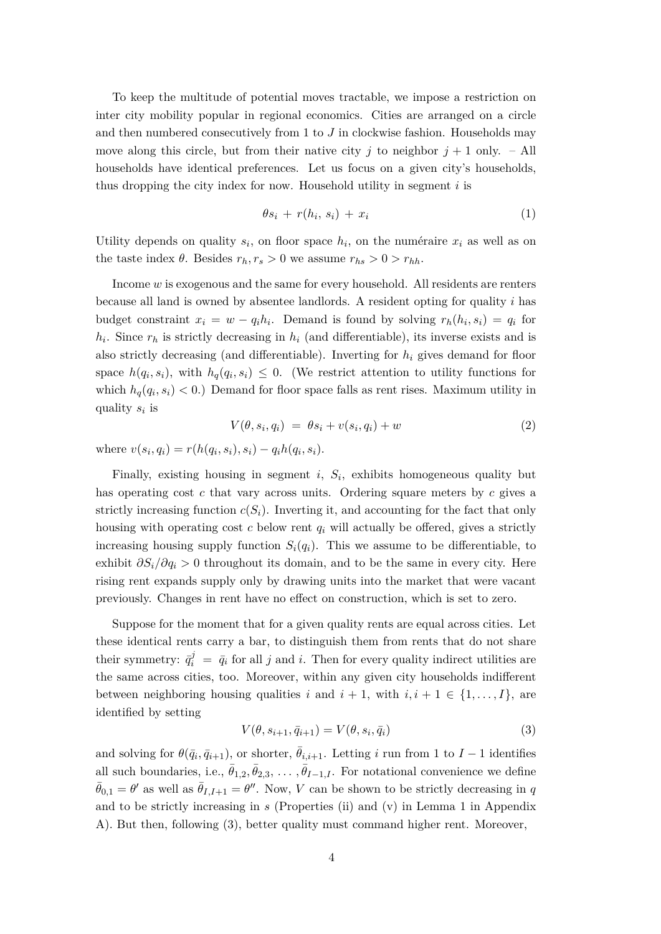To keep the multitude of potential moves tractable, we impose a restriction on inter city mobility popular in regional economics. Cities are arranged on a circle and then numbered consecutively from 1 to *J* in clockwise fashion. Households may move along this circle, but from their native city *j* to neighbor  $j + 1$  only. – All households have identical preferences. Let us focus on a given city's households, thus dropping the city index for now. Household utility in segment *i* is

$$
\theta s_i + r(h_i, s_i) + x_i \tag{1}
$$

Utility depends on quality  $s_i$ , on floor space  $h_i$ , on the numéraire  $x_i$  as well as on the taste index  $\theta$ . Besides  $r_h, r_s > 0$  we assume  $r_{hs} > 0 > r_{hh}$ .

Income *w* is exogenous and the same for every household. All residents are renters because all land is owned by absentee landlords. A resident opting for quality *i* has budget constraint  $x_i = w - q_i h_i$ . Demand is found by solving  $r_h(h_i, s_i) = q_i$  for  $h_i$ . Since  $r_h$  is strictly decreasing in  $h_i$  (and differentiable), its inverse exists and is also strictly decreasing (and differentiable). Inverting for *h<sup>i</sup>* gives demand for floor space  $h(q_i, s_i)$ , with  $h_q(q_i, s_i) \leq 0$ . (We restrict attention to utility functions for which  $h_q(q_i, s_i) < 0$ .) Demand for floor space falls as rent rises. Maximum utility in quality *s<sup>i</sup>* is

$$
V(\theta, s_i, q_i) = \theta s_i + v(s_i, q_i) + w \tag{2}
$$

where  $v(s_i, q_i) = r(h(q_i, s_i), s_i) - q_i h(q_i, s_i)$ .

Finally, existing housing in segment  $i$ ,  $S_i$ , exhibits homogeneous quality but has operating cost *c* that vary across units. Ordering square meters by *c* gives a strictly increasing function  $c(S_i)$ . Inverting it, and accounting for the fact that only housing with operating cost  $c$  below rent  $q_i$  will actually be offered, gives a strictly increasing housing supply function  $S_i(q_i)$ . This we assume to be differentiable, to exhibit  $\partial S_i/\partial q_i > 0$  throughout its domain, and to be the same in every city. Here rising rent expands supply only by drawing units into the market that were vacant previously. Changes in rent have no effect on construction, which is set to zero.

Suppose for the moment that for a given quality rents are equal across cities. Let these identical rents carry a bar, to distinguish them from rents that do not share their symmetry:  $\bar{q}^j_i = \bar{q}_i$  for all *j* and *i*. Then for every quality indirect utilities are the same across cities, too. Moreover, within any given city households indifferent between neighboring housing qualities *i* and  $i + 1$ , with  $i, i + 1 \in \{1, \ldots, I\}$ , are identified by setting

$$
V(\theta, s_{i+1}, \bar{q}_{i+1}) = V(\theta, s_i, \bar{q}_i)
$$
\n
$$
(3)
$$

and solving for  $\theta(\bar{q}_i, \bar{q}_{i+1})$ , or shorter,  $\bar{\theta}_{i,i+1}$ . Letting *i* run from 1 to *I* − 1 identifies all such boundaries, i.e.,  $\bar{\theta}_{1,2}, \bar{\theta}_{2,3}, \ldots, \bar{\theta}_{I-1,I}$ . For notational convenience we define  $\bar{\theta}_{0,1} = \theta'$  as well as  $\bar{\theta}_{I,I+1} = \theta''$ . Now, *V* can be shown to be strictly decreasing in *q* and to be strictly increasing in *s* (Properties (ii) and (v) in Lemma 1 in Appendix A). But then, following (3), better quality must command higher rent. Moreover,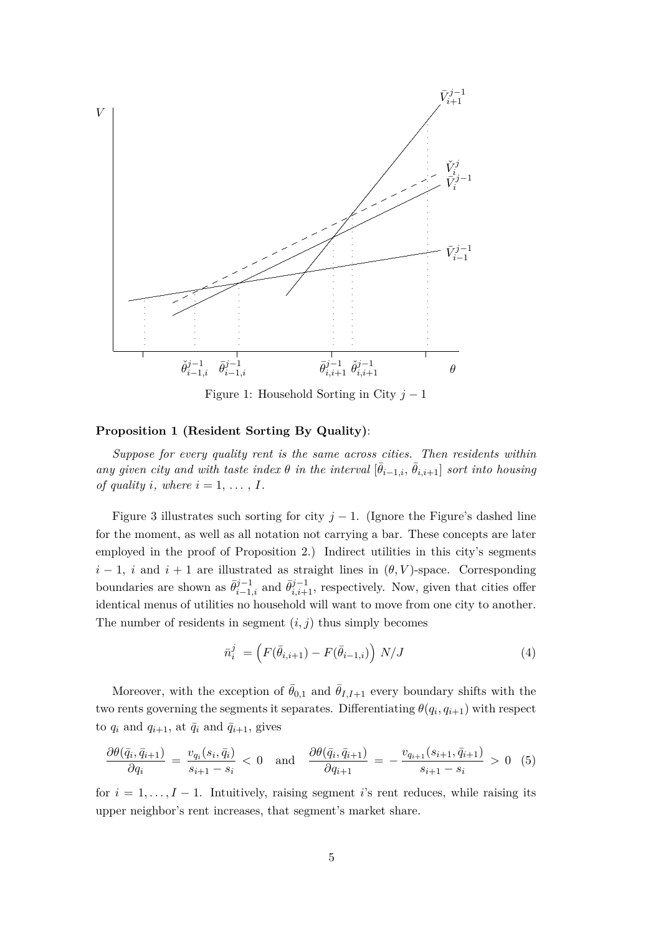

Figure 1: Household Sorting in City *j* − 1

### **Proposition 1 (Resident Sorting By Quality)**:

*Suppose for every quality rent is the same across cities. Then residents within any given city and with taste index*  $\theta$  *in the interval*  $[\bar{\theta}_{i-1,i}, \bar{\theta}_{i,i+1}]$  *sort into housing of quality i*, where  $i = 1, \ldots, I$ .

Figure 3 illustrates such sorting for city  $j - 1$ . (Ignore the Figure's dashed line for the moment, as well as all notation not carrying a bar. These concepts are later employed in the proof of Proposition 2.) Indirect utilities in this city's segments  $i-1$ , *i* and  $i+1$  are illustrated as straight lines in  $(\theta, V)$ -space. Corresponding boundaries are shown as  $\bar{\theta}_{i-1,i}^{j-1}$  and  $\bar{\theta}_{i,i+1}^{j-1}$ , respectively. Now, given that cities offer identical menus of utilities no household will want to move from one city to another. The number of residents in segment  $(i, j)$  thus simply becomes

$$
\bar{n}_i^j = \left( F(\bar{\theta}_{i,i+1}) - F(\bar{\theta}_{i-1,i}) \right) N/J \tag{4}
$$

Moreover, with the exception of  $\theta_{0,1}$  and  $\theta_{I,I+1}$  every boundary shifts with the two rents governing the segments it separates. Differentiating  $\theta(q_i, q_{i+1})$  with respect to  $q_i$  and  $q_{i+1}$ , at  $\bar{q}_i$  and  $\bar{q}_{i+1}$ , gives

$$
\frac{\partial \theta(\bar{q}_i, \bar{q}_{i+1})}{\partial q_i} = \frac{v_{q_i}(s_i, \bar{q}_i)}{s_{i+1} - s_i} < 0 \quad \text{and} \quad \frac{\partial \theta(\bar{q}_i, \bar{q}_{i+1})}{\partial q_{i+1}} = -\frac{v_{q_{i+1}}(s_{i+1}, \bar{q}_{i+1})}{s_{i+1} - s_i} > 0 \tag{5}
$$

for  $i = 1, \ldots, I - 1$ . Intuitively, raising segment *i*'s rent reduces, while raising its upper neighbor's rent increases, that segment's market share.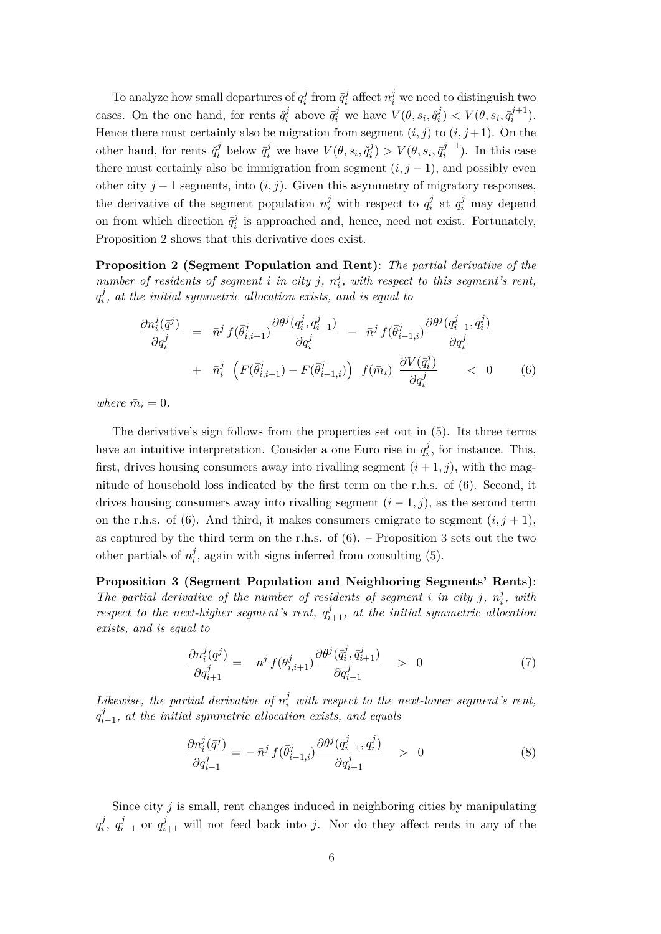To analyze how small departures of  $q_i^j$  $\bar{q}^j_i$  from  $\bar{q}^j_i$  $m_i^j$  affect  $n_i^j$  we need to distinguish two cases. On the one hand, for rents  $\hat{q}_i^j$  $\bar{q}_i^j$  above  $\bar{q}_i^j$  we have  $V(\theta, s_i, \hat{q}_i^j)$  $\bar{y}^j_i$ )  $\lt V(\theta, s_i, \bar{q}_i^{j+1})$  $i^{j+1}$ ). Hence there must certainly also be migration from segment  $(i, j)$  to  $(i, j+1)$ . On the other hand, for rents  $\check{q}_i^j$  $\bar{q}_i^j$  below  $\bar{q}_i^j$  we have  $V(\theta, s_i, \check{q}_i^j)$  $V(\theta, s_i, \bar{q}_i^{j-1})$  $\binom{i}{i}$ . In this case there must certainly also be immigration from segment  $(i, j - 1)$ , and possibly even other city  $j-1$  segments, into  $(i, j)$ . Given this asymmetry of migratory responses, the derivative of the segment population  $n_i^j$  with respect to  $q_i^j$  $a_i^j$  at  $\bar{q}_i^j$  may depend on from which direction  $\bar{q}_i^j$  $i_i^j$  is approached and, hence, need not exist. Fortunately, Proposition 2 shows that this derivative does exist.

**Proposition 2 (Segment Population and Rent)**: *The partial derivative of the number of residents of segment <i>i in city j*,  $n_i^j$ *i , with respect to this segment's rent,*  $q_i^j$  $\mathbf{z}_i^j$ , at the initial symmetric allocation exists, and is equal to

$$
\frac{\partial n_i^j(\bar{q}^j)}{\partial q_i^j} = \bar{n}^j f(\bar{\theta}_{i,i+1}^j) \frac{\partial \theta^j(\bar{q}_i^j, \bar{q}_{i+1}^j)}{\partial q_i^j} - \bar{n}^j f(\bar{\theta}_{i-1,i}^j) \frac{\partial \theta^j(\bar{q}_{i-1}^j, \bar{q}_i^j)}{\partial q_i^j} + \bar{n}_i^j \left( F(\bar{\theta}_{i,i+1}^j) - F(\bar{\theta}_{i-1,i}^j) \right) f(\bar{m}_i) \frac{\partial V(\bar{q}_i^j)}{\partial q_i^j} < 0 \tag{6}
$$

*where*  $\bar{m}_i = 0$ *.* 

The derivative's sign follows from the properties set out in (5). Its three terms have an intuitive interpretation. Consider a one Euro rise in  $q_i^j$  $t_i^j$ , for instance. This, first, drives housing consumers away into rivalling segment  $(i + 1, j)$ , with the magnitude of household loss indicated by the first term on the r.h.s. of (6). Second, it drives housing consumers away into rivalling segment  $(i - 1, j)$ , as the second term on the r.h.s. of (6). And third, it makes consumers emigrate to segment  $(i, j + 1)$ , as captured by the third term on the r.h.s. of  $(6)$ . – Proposition 3 sets out the two other partials of  $n_i^j$  $i<sub>i</sub>$ , again with signs inferred from consulting (5).

**Proposition 3 (Segment Population and Neighboring Segments' Rents)**: The partial derivative of the number of residents of segment *i* in city *j*,  $n_i^j$ *i , with respect to the next-higher segment's rent,*  $q_{i+1}^j$ , at the initial symmetric allocation *exists, and is equal to*

$$
\frac{\partial n_i^j(\bar{q}^j)}{\partial q_{i+1}^j} = \bar{n}^j f(\bar{\theta}_{i,i+1}^j) \frac{\partial \theta^j(\bar{q}_i^j, \bar{q}_{i+1}^j)}{\partial q_{i+1}^j} > 0 \tag{7}
$$

*Likewise, the partial derivative of*  $n_i^j$  *with respect to the next-lower segment's rent,*  $q_i^j$  $\sum_{i=1}^{j}$ , at the initial symmetric allocation exists, and equals

$$
\frac{\partial n_i^j(\bar{q}^j)}{\partial q_{i-1}^j} = -\bar{n}^j f(\bar{\theta}_{i-1,i}^j) \frac{\partial \theta^j(\bar{q}_{i-1}^j, \bar{q}_i^j)}{\partial q_{i-1}^j} > 0
$$
\n(8)

Since city  $j$  is small, rent changes induced in neighboring cities by manipulating  $q_i^j$  $i$ <sup>*,*</sup> $q_i^j$ *i*<sub>i−1</sub> or  $q$ <sup>*j*</sup><sub>i+1</sub> will not feed back into *j*. Nor do they affect rents in any of the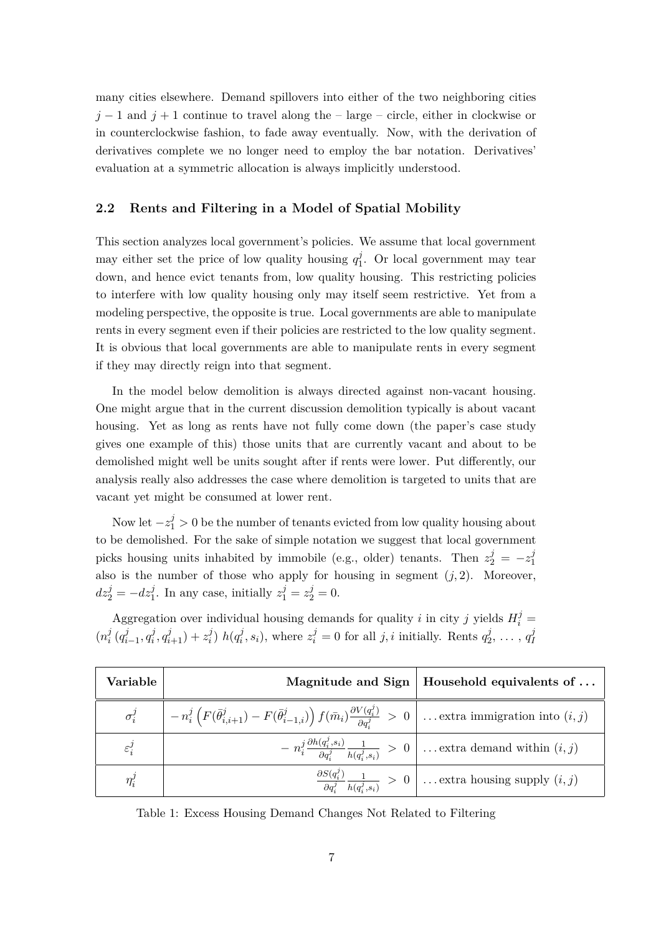many cities elsewhere. Demand spillovers into either of the two neighboring cities  $j-1$  and  $j+1$  continue to travel along the – large – circle, either in clockwise or in counterclockwise fashion, to fade away eventually. Now, with the derivation of derivatives complete we no longer need to employ the bar notation. Derivatives' evaluation at a symmetric allocation is always implicitly understood.

### **2.2 Rents and Filtering in a Model of Spatial Mobility**

This section analyzes local government's policies. We assume that local government may either set the price of low quality housing  $q_1^j$  $1<sup>j</sup>$ . Or local government may tear down, and hence evict tenants from, low quality housing. This restricting policies to interfere with low quality housing only may itself seem restrictive. Yet from a modeling perspective, the opposite is true. Local governments are able to manipulate rents in every segment even if their policies are restricted to the low quality segment. It is obvious that local governments are able to manipulate rents in every segment if they may directly reign into that segment.

In the model below demolition is always directed against non-vacant housing. One might argue that in the current discussion demolition typically is about vacant housing. Yet as long as rents have not fully come down (the paper's case study gives one example of this) those units that are currently vacant and about to be demolished might well be units sought after if rents were lower. Put differently, our analysis really also addresses the case where demolition is targeted to units that are vacant yet might be consumed at lower rent.

Now let  $-z_1^j > 0$  be the number of tenants evicted from low quality housing about to be demolished. For the sake of simple notation we suggest that local government picks housing units inhabited by immobile (e.g., older) tenants. Then  $z_2^j = -z_1^j$ 1 also is the number of those who apply for housing in segment  $(j, 2)$ . Moreover,  $dz_2^j = -dz_1^j$ . In any case, initially  $z_1^j = z_2^j = 0$ .

Aggregation over individual housing demands for quality *i* in city *j* yields  $H_i^j$  =  $(n_i^j)$  $\frac{j}{i}$   $(q_i^j)$  $\frac{j}{i-1}, q_i^j$  $z_i^j$ ,  $q_{i+1}^j$ ) +  $z_i^j$  $\binom{j}{i}$   $h(q_i^j)$  $z_i^j$ ,  $s_i$ ), where  $z_i^j = 0$  for all *j*, *i* initially. Rents  $q_2^j$  $q_1^j, \ldots, q_l^j$ *I*

| Variable          |                                                                                                                                                                                                | Magnitude and Sign   Household equivalents of $\dots$                                                                                                                            |
|-------------------|------------------------------------------------------------------------------------------------------------------------------------------------------------------------------------------------|----------------------------------------------------------------------------------------------------------------------------------------------------------------------------------|
| $\sigma_i^j$      | $\Big  -n_i^j \left( F(\bar{\theta}_{i,i+1}^j) - F(\bar{\theta}_{i-1,i}^j) \right) f(\bar{m}_i) \frac{\partial V(q_i^j)}{\partial q_i^j} > 0 \Big  \dots \text{extra immigration into } (i,j)$ |                                                                                                                                                                                  |
| $\varepsilon_i^j$ |                                                                                                                                                                                                | $\left.\frac{1}{2} - n_i^j \frac{\partial h(q_i^j,s_i)}{\partial q_i^j} \frac{1}{h(q_i^j,s_i)}\right. > 0 \left. \left. \right  \dots \text{extra demand within } (i,j) \right.$ |
| $\eta_i^j$        |                                                                                                                                                                                                | $\frac{\partial S(q_i^j)}{\partial q_i^j} \frac{1}{h(q_i^j,s_i)} > 0$ extra housing supply $(i,j)$                                                                               |

Table 1: Excess Housing Demand Changes Not Related to Filtering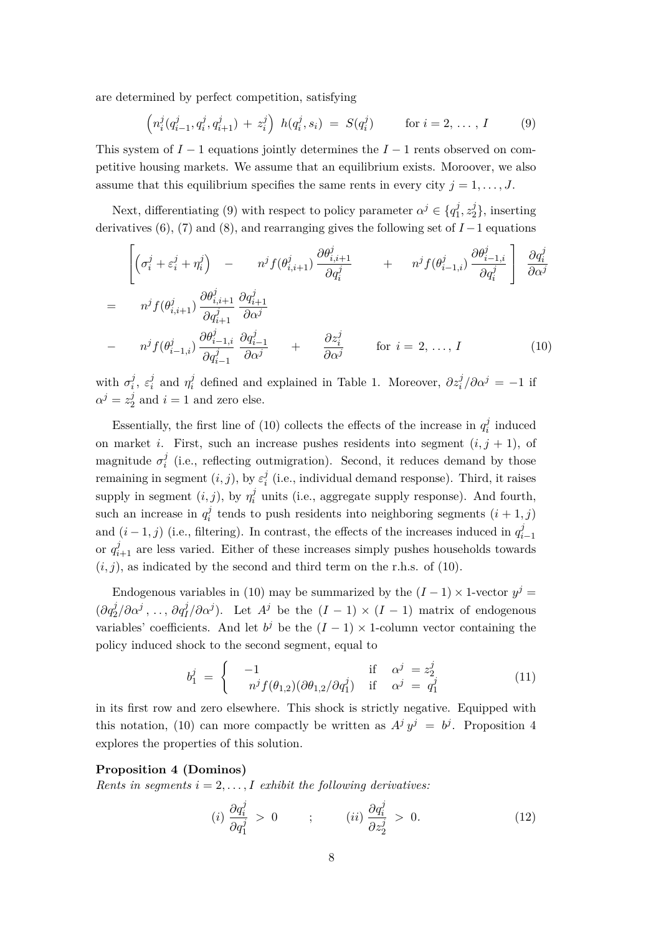are determined by perfect competition, satisfying

$$
\left(n_i^j(q_{i-1}^j, q_i^j, q_{i+1}^j) + z_i^j\right) h(q_i^j, s_i) = S(q_i^j) \quad \text{for } i = 2, ..., I \quad (9)
$$

This system of *I* − 1 equations jointly determines the *I* − 1 rents observed on competitive housing markets. We assume that an equilibrium exists. Moroover, we also assume that this equilibrium specifies the same rents in every city  $j = 1, \ldots, J$ .

Next, differentiating (9) with respect to policy parameter  $\alpha^j \in \{q_1^j\}$  $x_1^j, z_2^j$  $\binom{J}{2}$ , inserting derivatives (6), (7) and (8), and rearranging gives the following set of  $I-1$  equations

$$
\begin{aligned}\n&= \begin{bmatrix}\n\left(\sigma_i^j + \varepsilon_i^j + \eta_i^j\right) - n^j f(\theta_{i,i+1}^j) \frac{\partial \theta_{i,i+1}^j}{\partial q_i^j} + n^j f(\theta_{i-1,i}^j) \frac{\partial \theta_{i-1,i}^j}{\partial q_i^j}\right] \frac{\partial q_i^j}{\partial \alpha^j} \\
&= n^j f(\theta_{i,i+1}^j) \frac{\partial \theta_{i,i+1}^j}{\partial q_{i+1}^j} \frac{\partial q_{i+1}^j}{\partial \alpha^j} \\
&- n^j f(\theta_{i-1,i}^j) \frac{\partial \theta_{i-1,i}^j}{\partial q_{i-1}^j} \frac{\partial q_{i-1}^j}{\partial \alpha^j} + \frac{\partial z_i^j}{\partial \alpha^j} \quad \text{for } i = 2, \dots, I\n\end{bmatrix}\n\end{aligned} \tag{10}
$$

with  $\sigma_i^j$  $i^j$ ,  $\varepsilon_i^j$  $\eta$ <sup>*i*</sup>
and  $\eta$ <sup>*i*</sup></sup> *i i i d i d i i d i i f i***<b>***<i>n***<b>***i <i>f***<b>***<i>i <i>f <i>i <i>f***<b>***<i>i <i>f <i>i <i>f <i>i <i>f <i>i <i>f <i>i***<b>***<i>f <i><i>i***<b>***<i>f*  $\alpha^j = z_2^j$  $i=1$  and zero else.

Essentially, the first line of (10) collects the effects of the increase in  $q_i^j$  $a_i^j$  induced on market *i*. First, such an increase pushes residents into segment  $(i, j + 1)$ , of magnitude  $\sigma_i^j$  $i<sub>i</sub>$  (i.e., reflecting outmigration). Second, it reduces demand by those remaining in segment  $(i, j)$ , by  $\varepsilon_i^j$  $i_i^j$  (i.e., individual demand response). Third, it raises supply in segment  $(i, j)$ , by  $\eta_i^j$  $a_i^j$  units (i.e., aggregate supply response). And fourth, such an increase in  $q_i^j$  $a_i^j$  tends to push residents into neighboring segments  $(i + 1, j)$ and  $(i-1, j)$  (i.e., filtering). In contrast, the effects of the increases induced in  $q_i^j$ *i*−1 or  $q_{i+1}^j$  are less varied. Either of these increases simply pushes households towards  $(i, j)$ , as indicated by the second and third term on the r.h.s. of (10).

Endogenous variables in (10) may be summarized by the  $(I-1) \times 1$ -vector  $y^j =$  $(\partial q_2^j/\partial \alpha^j, \ldots, \partial q_I^j/\partial \alpha^j)$ . Let  $A^j$  be the  $(I-1) \times (I-1)$  matrix of endogenous variables' coefficients. And let  $b^j$  be the  $(I-1) \times 1$ -column vector containing the policy induced shock to the second segment, equal to

$$
b_1^j = \begin{cases} -1 & \text{if } \alpha^j = z_2^j\\ n^j f(\theta_{1,2}) (\partial \theta_{1,2} / \partial q_1^j) & \text{if } \alpha^j = q_1^j \end{cases}
$$
(11)

in its first row and zero elsewhere. This shock is strictly negative. Equipped with this notation, (10) can more compactly be written as  $A^j y^j = b^j$ . Proposition 4 explores the properties of this solution.

#### **Proposition 4 (Dominos)**

*Rents in segments*  $i = 2, \ldots, I$  *exhibit the following derivatives:* 

$$
(i) \frac{\partial q_i^j}{\partial q_1^j} > 0 \qquad ; \qquad (ii) \frac{\partial q_i^j}{\partial z_2^j} > 0. \tag{12}
$$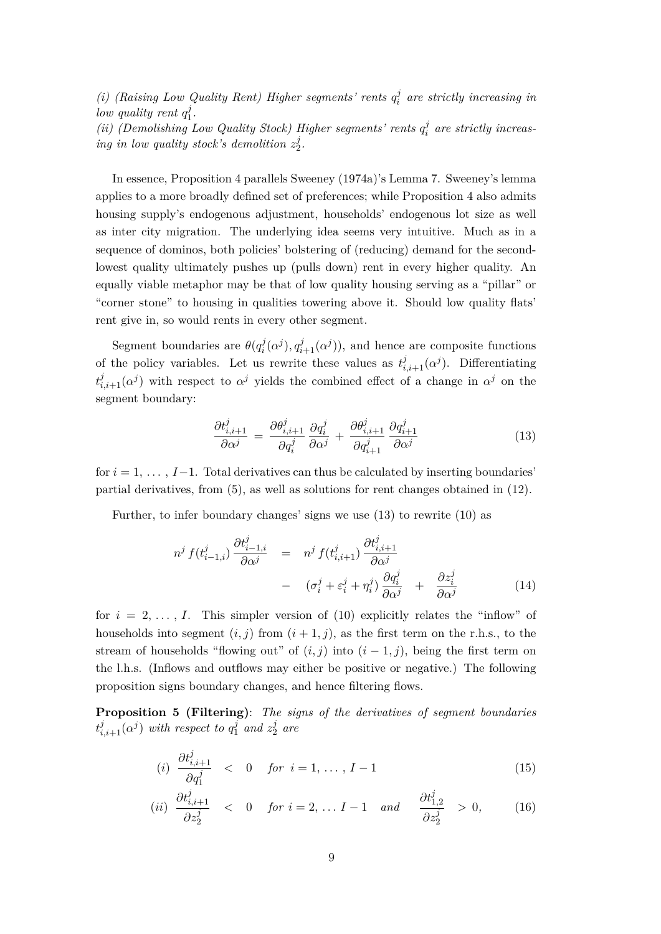*(i)* (Raising Low Quality Rent) Higher segments' rents  $q_i^j$ *i are strictly increasing in low quality rent q j* 1 *.*

*(ii)* (Demolishing Low Quality Stock) Higher segments' rents  $q_i^j$ *i are strictly increasing in low quality stock's demolition*  $z_2^j$  $\frac{j}{2}$ .

In essence, Proposition 4 parallels Sweeney (1974a)'s Lemma 7. Sweeney's lemma applies to a more broadly defined set of preferences; while Proposition 4 also admits housing supply's endogenous adjustment, households' endogenous lot size as well as inter city migration. The underlying idea seems very intuitive. Much as in a sequence of dominos, both policies' bolstering of (reducing) demand for the secondlowest quality ultimately pushes up (pulls down) rent in every higher quality. An equally viable metaphor may be that of low quality housing serving as a "pillar" or "corner stone" to housing in qualities towering above it. Should low quality flats' rent give in, so would rents in every other segment.

Segment boundaries are  $\theta(q_i^j)$  $a_i^j(\alpha^j), q_{i+1}^j(\alpha^j)$ , and hence are composite functions of the policy variables. Let us rewrite these values as  $t^j_{i,i+1}(\alpha^j)$ . Differentiating  $t^j_{i,i+1}(\alpha^j)$  with respect to  $\alpha^j$  yields the combined effect of a change in  $\alpha^j$  on the segment boundary:

$$
\frac{\partial t_{i,i+1}^j}{\partial \alpha^j} = \frac{\partial \theta_{i,i+1}^j}{\partial q_i^j} \frac{\partial q_i^j}{\partial \alpha^j} + \frac{\partial \theta_{i,i+1}^j}{\partial q_{i+1}^j} \frac{\partial q_{i+1}^j}{\partial \alpha^j}
$$
(13)

for  $i = 1, \ldots, I-1$ . Total derivatives can thus be calculated by inserting boundaries' partial derivatives, from (5), as well as solutions for rent changes obtained in (12).

Further, to infer boundary changes' signs we use (13) to rewrite (10) as

$$
n^{j} f(t_{i-1,i}^{j}) \frac{\partial t_{i-1,i}^{j}}{\partial \alpha^{j}} = n^{j} f(t_{i,i+1}^{j}) \frac{\partial t_{i,i+1}^{j}}{\partial \alpha^{j}} - (\sigma_{i}^{j} + \varepsilon_{i}^{j} + \eta_{i}^{j}) \frac{\partial q_{i}^{j}}{\partial \alpha^{j}} + \frac{\partial z_{i}^{j}}{\partial \alpha^{j}} \qquad (14)
$$

for  $i = 2, \ldots, I$ . This simpler version of (10) explicitly relates the "inflow" of households into segment  $(i, j)$  from  $(i + 1, j)$ , as the first term on the r.h.s., to the stream of households "flowing out" of  $(i, j)$  into  $(i - 1, j)$ , being the first term on the l.h.s. (Inflows and outflows may either be positive or negative.) The following proposition signs boundary changes, and hence filtering flows.

**Proposition 5 (Filtering)**: *The signs of the derivatives of segment boundaries*  $t^j_{i,i+1}(\alpha^j)$  *with respect to*  $q_1^j$  $\frac{j}{1}$  and  $z_2^j$  $rac{J}{2}$  are

$$
(i) \frac{\partial t_{i,i+1}^j}{\partial q_1^j} < 0 \quad \text{for } i = 1, \dots, I-1 \tag{15}
$$

$$
(ii) \frac{\partial t_{i,i+1}^j}{\partial z_2^j} < 0 \quad \text{for } i = 2, \dots, I-1 \quad \text{and} \quad \frac{\partial t_{1,2}^j}{\partial z_2^j} > 0,\tag{16}
$$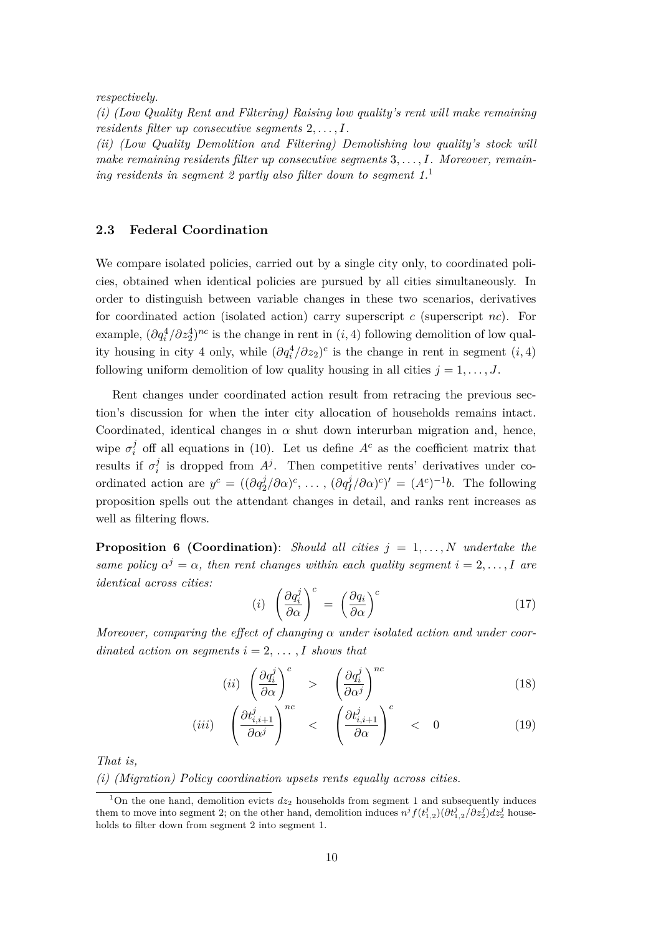*respectively.*

*(i) (Low Quality Rent and Filtering) Raising low quality's rent will make remaining residents filter up consecutive segments* 2*, . . . , I.*

*(ii) (Low Quality Demolition and Filtering) Demolishing low quality's stock will make remaining residents filter up consecutive segments* 3*, . . . , I. Moreover, remaining residents in segment 2 partly also filter down to segment 1.*<sup>1</sup>

### **2.3 Federal Coordination**

We compare isolated policies, carried out by a single city only, to coordinated policies, obtained when identical policies are pursued by all cities simultaneously. In order to distinguish between variable changes in these two scenarios, derivatives for coordinated action (isolated action) carry superscript *c* (superscript *nc*). For example,  $(\partial q_i^4 / \partial z_2^4)^{nc}$  is the change in rent in  $(i, 4)$  following demolition of low quality housing in city 4 only, while  $(\partial q_i^4 / \partial z_2)^c$  is the change in rent in segment  $(i, 4)$ following uniform demolition of low quality housing in all cities  $j = 1, \ldots, J$ .

Rent changes under coordinated action result from retracing the previous section's discussion for when the inter city allocation of households remains intact. Coordinated, identical changes in  $\alpha$  shut down interurban migration and, hence, wipe  $\sigma_i^j$  $\mu$ <sup>*j*</sup> off all equations in (10). Let us define *A<sup>c</sup>* as the coefficient matrix that results if  $\sigma_i^j$  $i$ <sup>i</sup> is dropped from  $A^j$ . Then competitive rents' derivatives under coordinated action are  $y^c = ((\partial q_2^j/\partial \alpha)^c, \ldots, (\partial q_I^j/\partial \alpha)^c)' = (A^c)^{-1}b$ . The following proposition spells out the attendant changes in detail, and ranks rent increases as well as filtering flows.

**Proposition 6 (Coordination)**: *Should all cities j* = 1*, . . . , N undertake the same policy*  $\alpha^{j} = \alpha$ , then rent changes within each quality segment  $i = 2, \ldots, I$  are *identical across cities:*

$$
(i) \left(\frac{\partial q_i^j}{\partial \alpha}\right)^c = \left(\frac{\partial q_i}{\partial \alpha}\right)^c \tag{17}
$$

*Moreover, comparing the effect of changing α under isolated action and under coordinated action on segments*  $i = 2, \ldots, I$  *shows that* 

$$
(ii) \left(\frac{\partial q_i^j}{\partial \alpha}\right)^c > \left(\frac{\partial q_i^j}{\partial \alpha^j}\right)^{nc}
$$
\n(18)

$$
(iii) \quad \left(\frac{\partial t_{i,i+1}^j}{\partial \alpha^j}\right)^{nc} < \left(\frac{\partial t_{i,i+1}^j}{\partial \alpha}\right)^{c} < 0 \tag{19}
$$

*That is,*

*(i) (Migration) Policy coordination upsets rents equally across cities.*

<sup>&</sup>lt;sup>1</sup>On the one hand, demolition evicts  $dz_2$  households from segment 1 and subsequently induces them to move into segment 2; on the other hand, demolition induces  $n^j f(t^j_{1,2})(\partial t^j_{1,2}/\partial z^j_2) dz^j_2$  households to filter down from segment 2 into segment 1.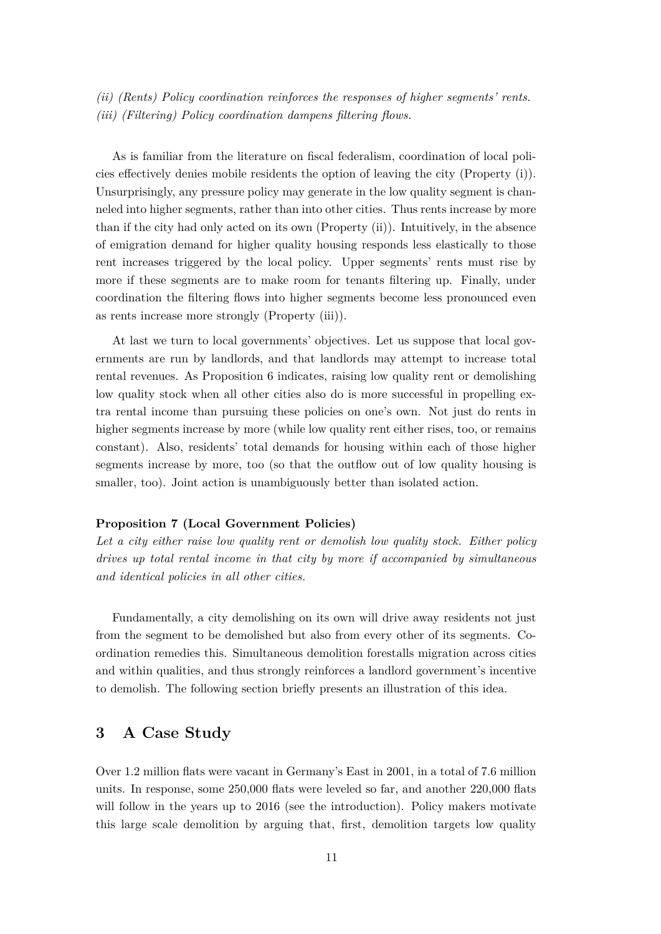*(ii) (Rents) Policy coordination reinforces the responses of higher segments' rents. (iii) (Filtering) Policy coordination dampens filtering flows.*

As is familiar from the literature on fiscal federalism, coordination of local policies effectively denies mobile residents the option of leaving the city (Property (i)). Unsurprisingly, any pressure policy may generate in the low quality segment is channeled into higher segments, rather than into other cities. Thus rents increase by more than if the city had only acted on its own (Property (ii)). Intuitively, in the absence of emigration demand for higher quality housing responds less elastically to those rent increases triggered by the local policy. Upper segments' rents must rise by more if these segments are to make room for tenants filtering up. Finally, under coordination the filtering flows into higher segments become less pronounced even as rents increase more strongly (Property (iii)).

At last we turn to local governments' objectives. Let us suppose that local governments are run by landlords, and that landlords may attempt to increase total rental revenues. As Proposition 6 indicates, raising low quality rent or demolishing low quality stock when all other cities also do is more successful in propelling extra rental income than pursuing these policies on one's own. Not just do rents in higher segments increase by more (while low quality rent either rises, too, or remains constant). Also, residents' total demands for housing within each of those higher segments increase by more, too (so that the outflow out of low quality housing is smaller, too). Joint action is unambiguously better than isolated action.

#### **Proposition 7 (Local Government Policies)**

*Let a city either raise low quality rent or demolish low quality stock. Either policy drives up total rental income in that city by more if accompanied by simultaneous and identical policies in all other cities.*

Fundamentally, a city demolishing on its own will drive away residents not just from the segment to be demolished but also from every other of its segments. Coordination remedies this. Simultaneous demolition forestalls migration across cities and within qualities, and thus strongly reinforces a landlord government's incentive to demolish. The following section briefly presents an illustration of this idea.

## **3 A Case Study**

Over 1.2 million flats were vacant in Germany's East in 2001, in a total of 7.6 million units. In response, some 250,000 flats were leveled so far, and another 220,000 flats will follow in the years up to 2016 (see the introduction). Policy makers motivate this large scale demolition by arguing that, first, demolition targets low quality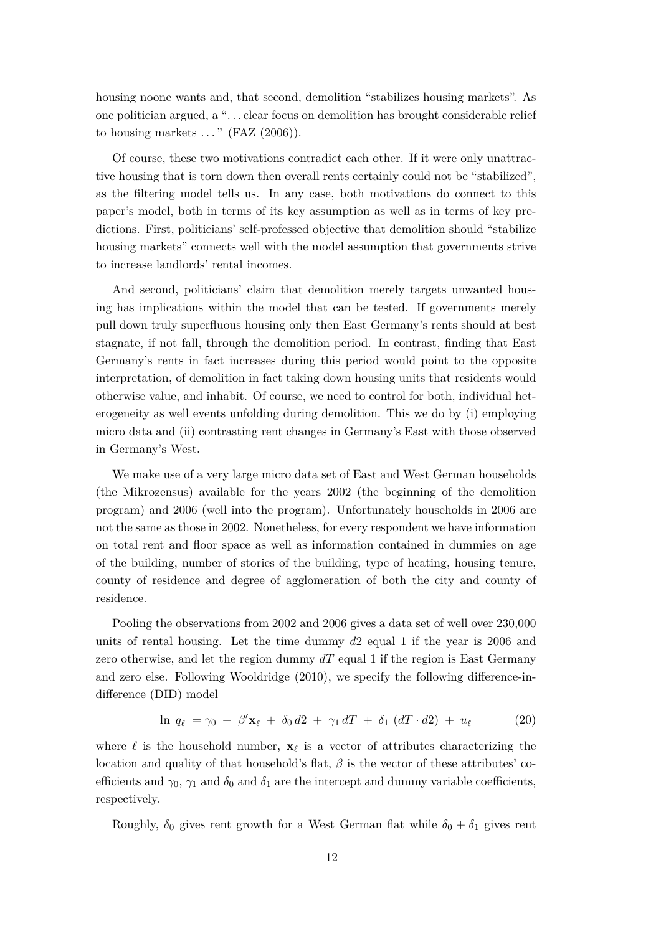housing noone wants and, that second, demolition "stabilizes housing markets". As one politician argued, a ". . . clear focus on demolition has brought considerable relief to housing markets  $\ldots$  " (FAZ  $(2006)$ ).

Of course, these two motivations contradict each other. If it were only unattractive housing that is torn down then overall rents certainly could not be "stabilized", as the filtering model tells us. In any case, both motivations do connect to this paper's model, both in terms of its key assumption as well as in terms of key predictions. First, politicians' self-professed objective that demolition should "stabilize housing markets" connects well with the model assumption that governments strive to increase landlords' rental incomes.

And second, politicians' claim that demolition merely targets unwanted housing has implications within the model that can be tested. If governments merely pull down truly superfluous housing only then East Germany's rents should at best stagnate, if not fall, through the demolition period. In contrast, finding that East Germany's rents in fact increases during this period would point to the opposite interpretation, of demolition in fact taking down housing units that residents would otherwise value, and inhabit. Of course, we need to control for both, individual heterogeneity as well events unfolding during demolition. This we do by (i) employing micro data and (ii) contrasting rent changes in Germany's East with those observed in Germany's West.

We make use of a very large micro data set of East and West German households (the Mikrozensus) available for the years 2002 (the beginning of the demolition program) and 2006 (well into the program). Unfortunately households in 2006 are not the same as those in 2002. Nonetheless, for every respondent we have information on total rent and floor space as well as information contained in dummies on age of the building, number of stories of the building, type of heating, housing tenure, county of residence and degree of agglomeration of both the city and county of residence.

Pooling the observations from 2002 and 2006 gives a data set of well over 230,000 units of rental housing. Let the time dummy *d*2 equal 1 if the year is 2006 and zero otherwise, and let the region dummy *dT* equal 1 if the region is East Germany and zero else. Following Wooldridge (2010), we specify the following difference-indifference (DID) model

$$
\ln q_{\ell} = \gamma_0 + \beta' \mathbf{x}_{\ell} + \delta_0 d2 + \gamma_1 dT + \delta_1 (dT \cdot d2) + u_{\ell} \tag{20}
$$

where  $\ell$  is the household number,  $\mathbf{x}_{\ell}$  is a vector of attributes characterizing the location and quality of that household's flat, *β* is the vector of these attributes' coefficients and  $\gamma_0$ ,  $\gamma_1$  and  $\delta_0$  and  $\delta_1$  are the intercept and dummy variable coefficients, respectively.

Roughly,  $\delta_0$  gives rent growth for a West German flat while  $\delta_0 + \delta_1$  gives rent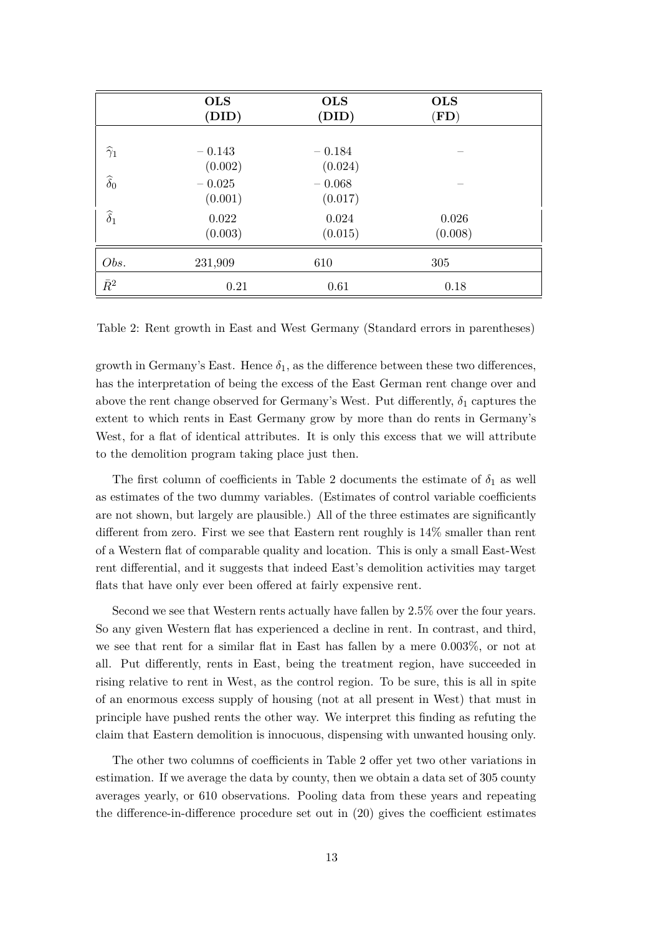|                      | <b>OLS</b><br>(DID)            | <b>OLS</b><br>(DID)            | <b>OLS</b><br>$(\mathbf{FD})$ |  |
|----------------------|--------------------------------|--------------------------------|-------------------------------|--|
| $\widehat{\gamma}_1$ | $-0.143$                       | $-0.184$                       |                               |  |
| $\widehat{\delta}_0$ | (0.002)<br>$-0.025$<br>(0.001) | (0.024)<br>$-0.068$<br>(0.017) |                               |  |
| $\widehat{\delta}_1$ | 0.022<br>(0.003)               | 0.024<br>(0.015)               | 0.026<br>(0.008)              |  |
| Obs.                 | 231,909                        | 610                            | 305                           |  |
| $\bar{R}^2$          | 0.21                           | 0.61                           | 0.18                          |  |

Table 2: Rent growth in East and West Germany (Standard errors in parentheses)

growth in Germany's East. Hence  $\delta_1$ , as the difference between these two differences, has the interpretation of being the excess of the East German rent change over and above the rent change observed for Germany's West. Put differently,  $\delta_1$  captures the extent to which rents in East Germany grow by more than do rents in Germany's West, for a flat of identical attributes. It is only this excess that we will attribute to the demolition program taking place just then.

The first column of coefficients in Table 2 documents the estimate of  $\delta_1$  as well as estimates of the two dummy variables. (Estimates of control variable coefficients are not shown, but largely are plausible.) All of the three estimates are significantly different from zero. First we see that Eastern rent roughly is 14% smaller than rent of a Western flat of comparable quality and location. This is only a small East-West rent differential, and it suggests that indeed East's demolition activities may target flats that have only ever been offered at fairly expensive rent.

Second we see that Western rents actually have fallen by 2.5% over the four years. So any given Western flat has experienced a decline in rent. In contrast, and third, we see that rent for a similar flat in East has fallen by a mere 0.003%, or not at all. Put differently, rents in East, being the treatment region, have succeeded in rising relative to rent in West, as the control region. To be sure, this is all in spite of an enormous excess supply of housing (not at all present in West) that must in principle have pushed rents the other way. We interpret this finding as refuting the claim that Eastern demolition is innocuous, dispensing with unwanted housing only.

The other two columns of coefficients in Table 2 offer yet two other variations in estimation. If we average the data by county, then we obtain a data set of 305 county averages yearly, or 610 observations. Pooling data from these years and repeating the difference-in-difference procedure set out in (20) gives the coefficient estimates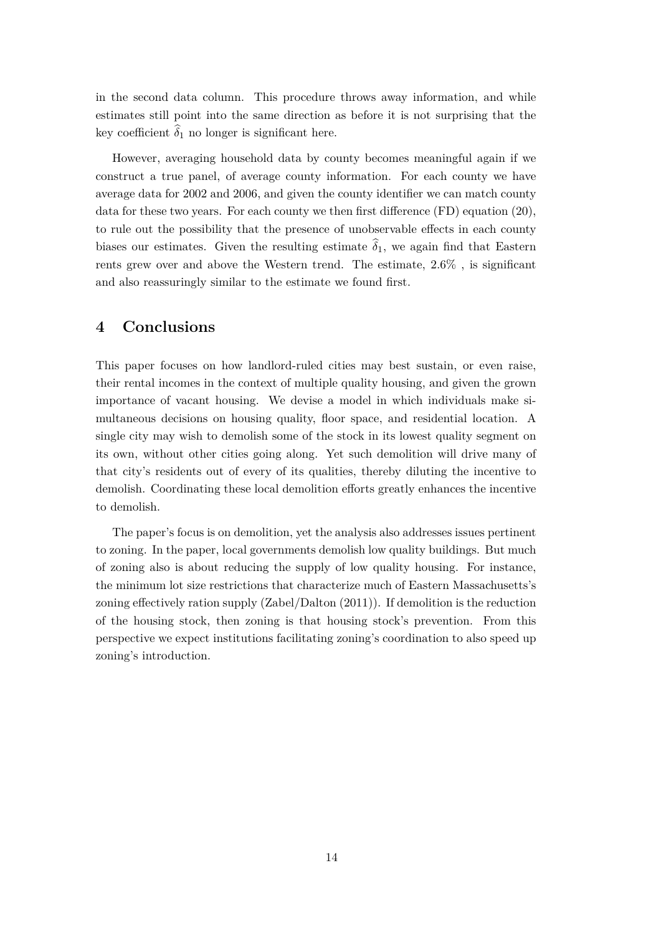in the second data column. This procedure throws away information, and while estimates still point into the same direction as before it is not surprising that the key coefficient  $\hat{\delta}_1$  no longer is significant here.

However, averaging household data by county becomes meaningful again if we construct a true panel, of average county information. For each county we have average data for 2002 and 2006, and given the county identifier we can match county data for these two years. For each county we then first difference (FD) equation (20), to rule out the possibility that the presence of unobservable effects in each county biases our estimates. Given the resulting estimate  $\hat{\delta}_1$ , we again find that Eastern rents grew over and above the Western trend. The estimate, 2.6% , is significant and also reassuringly similar to the estimate we found first.

## **4 Conclusions**

This paper focuses on how landlord-ruled cities may best sustain, or even raise, their rental incomes in the context of multiple quality housing, and given the grown importance of vacant housing. We devise a model in which individuals make simultaneous decisions on housing quality, floor space, and residential location. A single city may wish to demolish some of the stock in its lowest quality segment on its own, without other cities going along. Yet such demolition will drive many of that city's residents out of every of its qualities, thereby diluting the incentive to demolish. Coordinating these local demolition efforts greatly enhances the incentive to demolish.

The paper's focus is on demolition, yet the analysis also addresses issues pertinent to zoning. In the paper, local governments demolish low quality buildings. But much of zoning also is about reducing the supply of low quality housing. For instance, the minimum lot size restrictions that characterize much of Eastern Massachusetts's zoning effectively ration supply (Zabel/Dalton (2011)). If demolition is the reduction of the housing stock, then zoning is that housing stock's prevention. From this perspective we expect institutions facilitating zoning's coordination to also speed up zoning's introduction.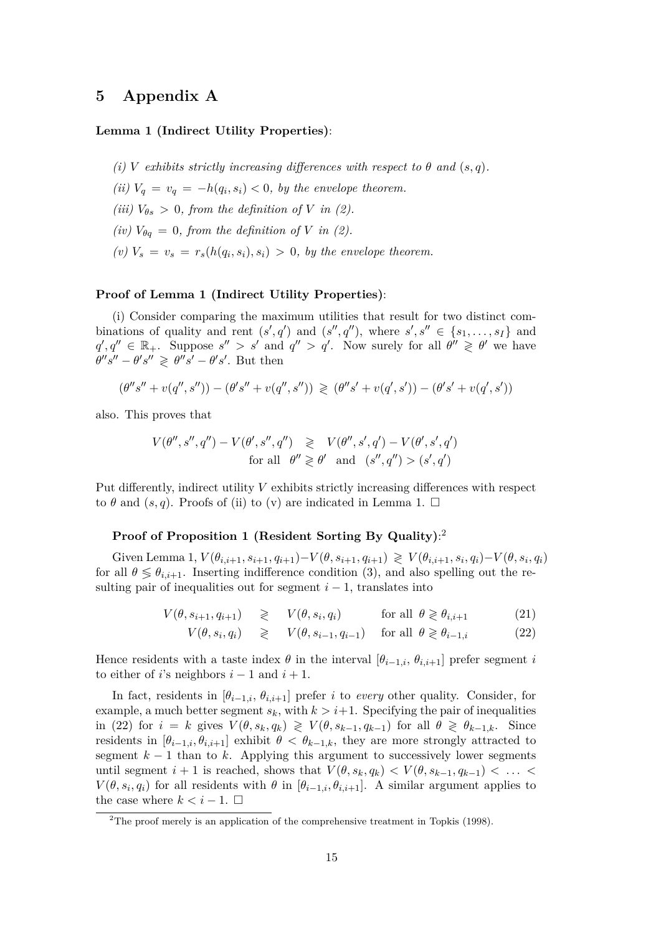## **5 Appendix A**

### **Lemma 1 (Indirect Utility Properties)**:

- *(i) V exhibits strictly increasing differences with respect to*  $\theta$  *and*  $(s, q)$ *.*
- *(ii)*  $V_q = v_q = -h(q_i, s_i) < 0$ , by the envelope theorem.
- *(iii)*  $V_{\theta s} > 0$ *, from the definition of V in (2)*.
- *(iv)*  $V_{\theta q} = 0$ *, from the definition of V in (2)*.
- $(v)$   $V_s = v_s = r_s(h(q_i, s_i), s_i) > 0$ , by the envelope theorem.

#### **Proof of Lemma 1 (Indirect Utility Properties)**:

(i) Consider comparing the maximum utilities that result for two distinct combinations of quality and rent  $(s', q')$  and  $(s'', q'')$ , where  $s', s'' \in \{s_1, \ldots, s_I\}$  and  $q', q'' \in \mathbb{R}_+$ . Suppose  $s'' > s'$  and  $q'' > q'$ . Now surely for all  $\theta'' \geq \theta'$  we have  $\theta''s'' - \theta's'' \geq \theta''s' - \theta's'.$  But then

$$
(\theta''s''+v(q'',s''))-(\theta's''+v(q'',s'')) \, \gtrless \, (\theta''s'+v(q',s'))-(\theta's'+v(q',s'))
$$

also. This proves that

$$
V(\theta'', s'', q'') - V(\theta', s'', q'') \geq V(\theta'', s', q') - V(\theta', s', q')
$$
  
for all  $\theta'' \geq \theta'$  and  $(s'', q'') > (s', q')$ 

Put differently, indirect utility *V* exhibits strictly increasing differences with respect to  $\theta$  and  $(s, q)$ . Proofs of (ii) to (v) are indicated in Lemma 1.  $\Box$ 

### **Proof of Proposition 1 (Resident Sorting By Quality)**: 2

Given Lemma 1,  $V(\theta_{i,i+1}, s_{i+1}, q_{i+1}) - V(\theta, s_{i+1}, q_{i+1}) \geq V(\theta_{i,i+1}, s_i, q_i) - V(\theta, s_i, q_i)$ for all  $\theta \leq \theta_{i,i+1}$ . Inserting indifference condition (3), and also spelling out the resulting pair of inequalities out for segment  $i - 1$ , translates into

$$
V(\theta, s_{i+1}, q_{i+1}) \geqslant V(\theta, s_i, q_i) \qquad \text{for all } \theta \geqslant \theta_{i,i+1} \qquad (21)
$$

$$
V(\theta, s_i, q_i) \geq V(\theta, s_{i-1}, q_{i-1}) \quad \text{for all } \theta \geq \theta_{i-1,i} \tag{22}
$$

Hence residents with a taste index  $\theta$  in the interval  $[\theta_{i-1,i}, \theta_{i,i+1}]$  prefer segment *i* to either of *i*'s neighbors  $i - 1$  and  $i + 1$ .

In fact, residents in  $[\theta_{i-1,i}, \theta_{i,i+1}]$  prefer *i* to *every* other quality. Consider, for example, a much better segment  $s_k$ , with  $k > i+1$ . Specifying the pair of inequalities in (22) for  $i = k$  gives  $V(\theta, s_k, q_k) \geq V(\theta, s_{k-1}, q_{k-1})$  for all  $\theta \geq \theta_{k-1,k}$ . Since residents in  $[\theta_{i-1,i}, \theta_{i,i+1}]$  exhibit  $\theta < \theta_{k-1,k}$ , they are more strongly attracted to segment  $k-1$  than to k. Applying this argument to successively lower segments until segment  $i + 1$  is reached, shows that  $V(\theta, s_k, q_k) < V(\theta, s_{k-1}, q_{k-1}) < \ldots <$  $V(\theta, s_i, q_i)$  for all residents with  $\theta$  in  $[\theta_{i-1,i}, \theta_{i,i+1}]$ . A similar argument applies to the case where  $k < i - 1$ .  $\Box$ 

<sup>&</sup>lt;sup>2</sup>The proof merely is an application of the comprehensive treatment in Topkis (1998).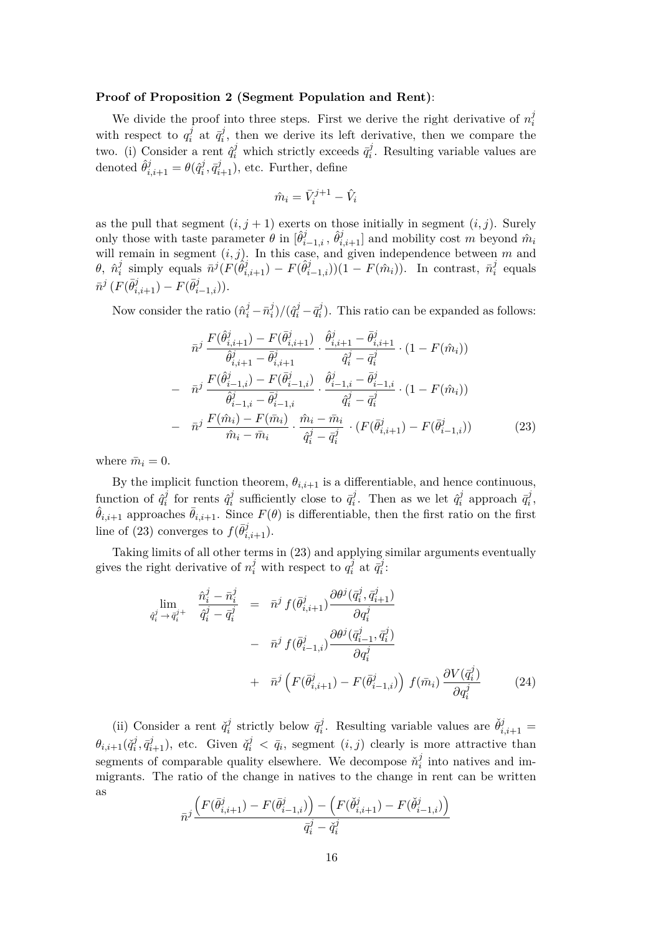#### **Proof of Proposition 2 (Segment Population and Rent)**:

We divide the proof into three steps. First we derive the right derivative of  $n_i^j$ *i* with respect to  $q_i^j$  $i$ <sup>*i*</sup> at  $\bar{q}^j_i$  $i<sub>i</sub>$ , then we derive its left derivative, then we compare the two. (i) Consider a rent  $\hat{q}_i^j$  which strictly exceeds  $\bar{q}_i^j$  $i<sup>j</sup>$ . Resulting variable values are denoted  $\hat{\theta}_{i,i+1}^j = \theta(\hat{q}_i^j)$  $(\overline{q}_{i}^{j}, \overline{q}_{i+1}^{j})$ , etc. Further, define

$$
\hat{m}_i = \bar{V}_i^{j+1} - \hat{V}_i
$$

as the pull that segment  $(i, j + 1)$  exerts on those initially in segment  $(i, j)$ . Surely only those with taste parameter  $\theta$  in  $[\hat{\theta}_{i-1,i}^j, \hat{\theta}_{i,i+1}^j]$  and mobility cost *m* beyond  $\hat{m}_i$ will remain in segment  $(i, j)$ . In this case, and given independence between  $m$  and  $θ, \; \hat{n}^j_i$  $\bar{n}^j(F(\hat{\theta}_{i,i+1}^j) - F(\hat{\theta}_{i-1,i}^j))(1 - F(\hat{m}_i))$ . In contrast,  $\bar{n}_i^j$ *i* equals  $\bar{n}^{j} (F(\bar{\theta}_{i,i+1}^{j}) - F(\bar{\theta}_{i-1,i}^{j})).$ 

Now consider the ratio  $(\hat{n}_i^j - \bar{n}_i^j)$  $\frac{d}{i}$ )/ $(\hat{q}_i^j - \bar{q}_i^j)$  $\hat{p}_i^j$ ). This ratio can be expanded as follows:

$$
\bar{n}^{j} \frac{F(\hat{\theta}_{i,i+1}^{j}) - F(\bar{\theta}_{i,i+1}^{j})}{\hat{\theta}_{i,i+1}^{j} - \bar{\theta}_{i,i+1}^{j}} \cdot \frac{\hat{\theta}_{i,i+1}^{j} - \bar{\theta}_{i,i+1}^{j}}{\hat{q}_{i}^{j} - \bar{q}_{i}^{j}} \cdot (1 - F(\hat{m}_{i}))
$$
\n
$$
- \bar{n}^{j} \frac{F(\hat{\theta}_{i-1,i}^{j}) - F(\bar{\theta}_{i-1,i}^{j})}{\hat{\theta}_{i-1,i}^{j} - \bar{\theta}_{i-1,i}^{j}} \cdot \frac{\hat{\theta}_{i-1,i}^{j} - \bar{\theta}_{i-1,i}^{j}}{\hat{q}_{i}^{j} - \bar{q}_{i}^{j}} \cdot (1 - F(\hat{m}_{i}))
$$
\n
$$
- \bar{n}^{j} \frac{F(\hat{m}_{i}) - F(\bar{m}_{i})}{\hat{m}_{i} - \bar{m}_{i}} \cdot \frac{\hat{m}_{i} - \bar{m}_{i}}{\hat{q}_{i}^{j} - \bar{q}_{i}^{j}} \cdot (F(\bar{\theta}_{i,i+1}^{j}) - F(\bar{\theta}_{i-1,i}^{j})) \qquad (23)
$$

where  $\bar{m}_i = 0$ .

By the implicit function theorem,  $\theta_{i,i+1}$  is a differentiable, and hence continuous, function of  $\hat{q}_i^j$  $\hat{q}^j_i$  for rents  $\hat{q}^j_i$  $\bar{q}_i^j$  sufficiently close to  $\bar{q}_i^j$  $\hat{q}^j$ . Then as we let  $\hat{q}^j_i$  $\bar{q}_i^j$  approach  $\bar{q}_i^j$ *i* ,  $\hat{\theta}_{i,i+1}$  approaches  $\bar{\theta}_{i,i+1}$ . Since  $F(\theta)$  is differentiable, then the first ratio on the first line of (23) converges to  $f(\bar{\theta}_{i,i+1}^j)$ .

Taking limits of all other terms in (23) and applying similar arguments eventually gives the right derivative of  $n_i^j$  with respect to  $q_i^j$  $\bar{\vec{q}}_i^j$  at  $\bar{\vec{q}}_i^j$ *i* :

$$
\lim_{\hat{q}_i^j \to \bar{q}_i^j +} \frac{\hat{n}_i^j - \bar{n}_i^j}{\hat{q}_i^j - \bar{q}_i^j} = \bar{n}^j f(\bar{\theta}_{i,i+1}^j) \frac{\partial \theta^j(\bar{q}_i^j, \bar{q}_{i+1}^j)}{\partial q_i^j} \n- \bar{n}^j f(\bar{\theta}_{i-1,i}^j) \frac{\partial \theta^j(\bar{q}_{i-1}^j, \bar{q}_i^j)}{\partial q_i^j} \n+ \bar{n}^j \left( F(\bar{\theta}_{i,i+1}^j) - F(\bar{\theta}_{i-1,i}^j) \right) f(\bar{m}_i) \frac{\partial V(\bar{q}_i^j)}{\partial q_i^j}
$$
\n(24)

(ii) Consider a rent  $\check{q}_i^j$  $\bar{q}_i^j$  strictly below  $\bar{q}_i^j$  $\check{\theta}^j_{i,i+1}$  =  $\theta_{i,i+1}(\check{q}^j_i)$  $a_i^j$ ,  $\bar{q}_{i+1}^j$ ), etc. Given  $\check{q}_i^j < \bar{q}_i$ , segment  $(i, j)$  clearly is more attractive than segments of comparable quality elsewhere. We decompose  $\check{n}_i^j$  $\frac{J}{i}$  into natives and immigrants. The ratio of the change in natives to the change in rent can be written as

$$
\bar{n}^j\frac{\left(F(\bar{\theta}_{i,i+1}^j)-F(\bar{\theta}_{i-1,i}^j)\right)-\left(F(\check{\theta}_{i,i+1}^j)-F(\check{\theta}_{i-1,i}^j)\right)}{\bar{q}_i^j-\check{q}_i^j}
$$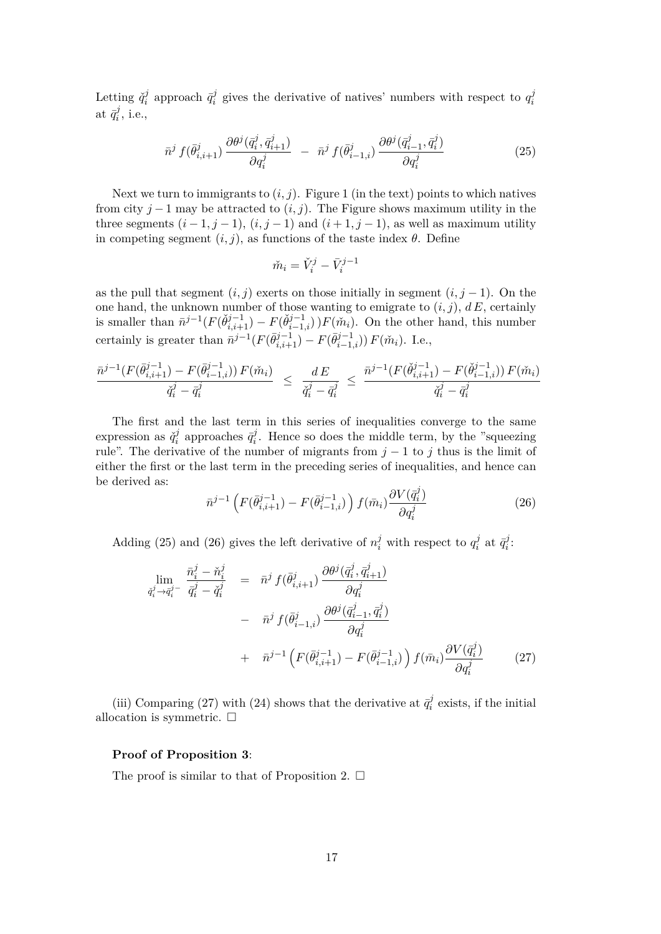Letting  $\check{q}_i^j$  $\bar{q}_i^j$  approach  $\bar{q}_i^j$  $g_i^j$  gives the derivative of natives' numbers with respect to  $q_i^j$ *i*  $\mathrm{at}\,\, \bar{q}^j_i$  $i^j$ , i.e.,

$$
\bar{n}^j f(\bar{\theta}_{i,i+1}^j) \frac{\partial \theta^j(\bar{q}_i^j, \bar{q}_{i+1}^j)}{\partial q_i^j} - \bar{n}^j f(\bar{\theta}_{i-1,i}^j) \frac{\partial \theta^j(\bar{q}_{i-1}^j, \bar{q}_i^j)}{\partial q_i^j} \tag{25}
$$

Next we turn to immigrants to  $(i, j)$ . Figure 1 (in the text) points to which natives from city  $j-1$  may be attracted to  $(i, j)$ . The Figure shows maximum utility in the three segments  $(i-1, j-1)$ ,  $(i, j-1)$  and  $(i+1, j-1)$ , as well as maximum utility in competing segment  $(i, j)$ , as functions of the taste index  $\theta$ . Define

$$
\check{m}_i = \check{V}_i^j - \bar{V}_i^{j-1}
$$

as the pull that segment  $(i, j)$  exerts on those initially in segment  $(i, j - 1)$ . On the one hand, the unknown number of those wanting to emigrate to  $(i, j)$ ,  $dE$ , certainly is smaller than  $\bar{n}^{j-1}(F(\check{\theta}_{i,i+1}^{j-1}) - F(\check{\theta}_{i-1,i}^{j-1}))F(\check{m}_i)$ . On the other hand, this number certainly is greater than  $\bar{n}^{j-1}(F(\bar{\theta}_{i,i+1}^{j-1}) - F(\bar{\theta}_{i-1,i}^{j-1})) F(\tilde{m}_i)$ . I.e.,

$$
\frac{\bar{n}^{j-1}(F(\bar{\theta}_{i,i+1}^{j-1}) - F(\bar{\theta}_{i-1,i}^{j-1})) F(\check{m}_i)}{\check{q}_i^j - \bar{q}_i^j} \leq \frac{dE}{\check{q}_i^j - \bar{q}_i^j} \leq \frac{\bar{n}^{j-1}(F(\check{\theta}_{i,i+1}^{j-1}) - F(\check{\theta}_{i-1,i}^{j-1})) F(\check{m}_i)}{\check{q}_i^j - \bar{q}_i^j}
$$

The first and the last term in this series of inequalities converge to the same expression as  $\check{q}_i^j$  $\bar{q}_i^j$  approaches  $\bar{q}_i^j$  $i$ <sup> $j$ </sup>. Hence so does the middle term, by the "squeezing" rule". The derivative of the number of migrants from  $j - 1$  to  $j$  thus is the limit of either the first or the last term in the preceding series of inequalities, and hence can be derived as:

$$
\bar{n}^{j-1} \left( F(\bar{\theta}_{i,i+1}^{j-1}) - F(\bar{\theta}_{i-1,i}^{j-1}) \right) f(\bar{m}_i) \frac{\partial V(\bar{q}_i^j)}{\partial q_i^j} \tag{26}
$$

Adding (25) and (26) gives the left derivative of  $n_i^j$  with respect to  $q_i^j$  $\bar{q}^j_i$  at  $\bar{q}^j_i$  $i^j$ :

$$
\lim_{\substack{\vec{q}_i^j \to \vec{q}_i^j - \vec{q}_i^j = \vec{n}^j \neq (\vec{\theta}_{i,i+1}^j) \to (\vec{q}_i^j, \vec{q}_{i+1}^j) = \vec{n}^j f(\vec{\theta}_{i,i+1}^j) \to} \n\frac{\partial \theta^j(\vec{q}_i^j, \vec{q}_{i+1}^j)}{\partial q_i^j} \qquad\n- \bar{n}^j f(\vec{\theta}_{i-1,i}^j) \frac{\partial \theta^j(\vec{q}_{i-1}^j, \vec{q}_i^j)}{\partial q_i^j} \qquad\n+ \bar{n}^{j-1} \left( F(\vec{\theta}_{i,i+1}^{j-1}) - F(\vec{\theta}_{i-1,i}^{j-1}) \right) f(\vec{m}_i) \frac{\partial V(\vec{q}_i^j)}{\partial q_i^j} \tag{27}
$$

(iii) Comparing (27) with (24) shows that the derivative at  $\bar{q}_i^j$  $\bar{i}$ <sup> $\ell$ </sup> exists, if the initial allocation is symmetric.  $\Box$ 

### **Proof of Proposition 3**:

The proof is similar to that of Proposition 2.  $\Box$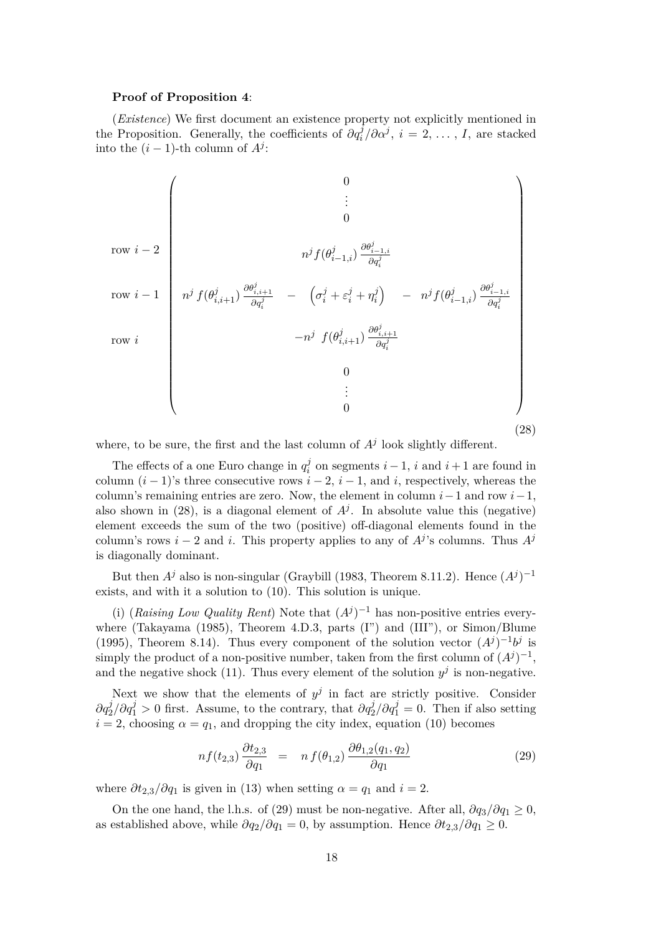#### **Proof of Proposition 4**:

(*Existence*) We first document an existence property not explicitly mentioned in the Proposition. Generally, the coefficients of  $\partial q_i^j / \partial \alpha^j$ ,  $i = 2, ..., I$ , are stacked into the  $(i - 1)$ -th column of  $A<sup>j</sup>$ :

row *i* − 2 row *i* − 1 row *i* 0 . . . 0 *n <sup>j</sup>f*(*θ j <sup>i</sup>*−1*,i*) *∂θ<sup>j</sup> i*−1*,i ∂q<sup>j</sup> i n <sup>j</sup> f*(*θ j i,i*+1) *∂θ<sup>j</sup> i,i*+1 *∂q<sup>j</sup> i* − *σ j <sup>i</sup>* + *ε j <sup>i</sup>* + *η j i* − *n <sup>j</sup>f*(*θ j <sup>i</sup>*−1*,i*) *∂θ<sup>j</sup> i*−1*,i ∂q<sup>j</sup> i* −*n <sup>j</sup> f*(*θ j i,i*+1) *∂θ<sup>j</sup> i,i*+1 *∂q<sup>j</sup> i* 0 . . . 0 (28)

where, to be sure, the first and the last column of  $A<sup>j</sup>$  look slightly different.

The effects of a one Euro change in  $q_i^j$  $i_i^j$  on segments  $i-1$ , *i* and  $i+1$  are found in column  $(i - 1)$ 's three consecutive rows  $i - 2$ ,  $i - 1$ , and *i*, respectively, whereas the column's remaining entries are zero. Now, the element in column *i*−1 and row *i*−1, also shown in (28), is a diagonal element of  $A<sup>j</sup>$ . In absolute value this (negative) element exceeds the sum of the two (positive) off-diagonal elements found in the column's rows *i* − 2 and *i*. This property applies to any of  $A<sup>j</sup>$ 's columns. Thus  $A<sup>j</sup>$ is diagonally dominant.

But then  $A^j$  also is non-singular (Graybill (1983, Theorem 8.11.2). Hence  $(A^j)^{-1}$ exists, and with it a solution to (10). This solution is unique.

(i) (*Raising Low Quality Rent*) Note that  $(A<sup>j</sup>)<sup>-1</sup>$  has non-positive entries everywhere (Takayama (1985), Theorem 4.D.3, parts (I") and (III"), or Simon/Blume (1995), Theorem 8.14). Thus every component of the solution vector  $(A^{j})^{-1}b^{j}$  is simply the product of a non-positive number, taken from the first column of  $(A^{j})^{-1}$ , and the negative shock (11). Thus every element of the solution  $y^j$  is non-negative.

Next we show that the elements of  $y^j$  in fact are strictly positive. Consider  $\partial q_2^j / \partial q_1^j > 0$  first. Assume, to the contrary, that  $\partial q_2^j / \partial q_1^j = 0$ . Then if also setting  $i = 2$ , choosing  $\alpha = q_1$ , and dropping the city index, equation (10) becomes

$$
nf(t_{2,3})\frac{\partial t_{2,3}}{\partial q_1} = n f(\theta_{1,2})\frac{\partial \theta_{1,2}(q_1, q_2)}{\partial q_1} \tag{29}
$$

where  $\partial t_{2,3}/\partial q_1$  is given in (13) when setting  $\alpha = q_1$  and  $i = 2$ .

On the one hand, the l.h.s. of (29) must be non-negative. After all,  $\partial q_3 / \partial q_1 \geq 0$ , as established above, while  $\partial q_2/\partial q_1 = 0$ , by assumption. Hence  $\partial t_{2,3}/\partial q_1 \geq 0$ .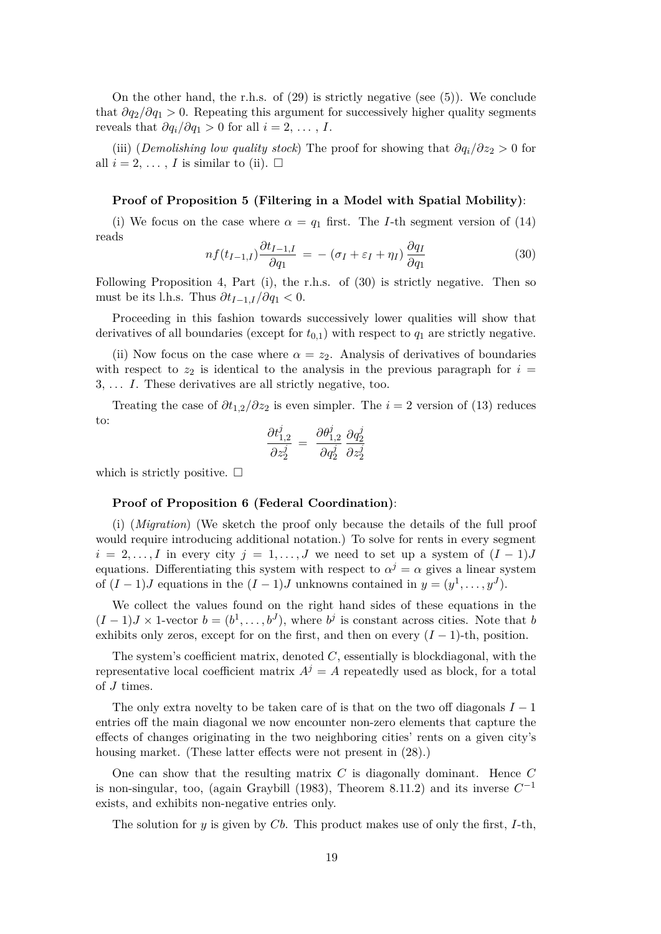On the other hand, the r.h.s. of  $(29)$  is strictly negative (see  $(5)$ ). We conclude that  $\partial q_2/\partial q_1 > 0$ . Repeating this argument for successively higher quality segments reveals that  $\partial q_i / \partial q_1 > 0$  for all  $i = 2, \ldots, I$ .

(iii) (*Demolishing low quality stock*) The proof for showing that *∂qi/∂z*<sup>2</sup> *>* 0 for all  $i = 2, \ldots, I$  is similar to (ii).  $\Box$ 

### **Proof of Proposition 5 (Filtering in a Model with Spatial Mobility)**:

(i) We focus on the case where  $\alpha = q_1$  first. The *I*-th segment version of (14) reads

$$
nf(t_{I-1,I})\frac{\partial t_{I-1,I}}{\partial q_1} = -(\sigma_I + \varepsilon_I + \eta_I)\frac{\partial q_I}{\partial q_1}
$$
\n(30)

Following Proposition 4, Part (i), the r.h.s. of (30) is strictly negative. Then so must be its l.h.s. Thus  $\partial t_{I-1,I}/\partial q_1 < 0$ .

Proceeding in this fashion towards successively lower qualities will show that derivatives of all boundaries (except for  $t_{0,1}$ ) with respect to  $q_1$  are strictly negative.

(ii) Now focus on the case where  $\alpha = z_2$ . Analysis of derivatives of boundaries with respect to  $z_2$  is identical to the analysis in the previous paragraph for  $i =$ 3*, . . . I*. These derivatives are all strictly negative, too.

Treating the case of  $\partial t_{1,2}/\partial z_2$  is even simpler. The *i* = 2 version of (13) reduces to:

$$
\frac{\partial t_{1,2}^j}{\partial z_2^j} = \frac{\partial \theta_{1,2}^j}{\partial q_2^j} \frac{\partial q_2^j}{\partial z_2^j}
$$

which is strictly positive.  $\Box$ 

#### **Proof of Proposition 6 (Federal Coordination)**:

(i) (*Migration*) (We sketch the proof only because the details of the full proof would require introducing additional notation.) To solve for rents in every segment  $i = 2, \ldots, I$  in every city  $j = 1, \ldots, J$  we need to set up a system of  $(I - 1)J$ equations. Differentiating this system with respect to  $\alpha^{j} = \alpha$  gives a linear system of  $(I-1)J$  equations in the  $(I-1)J$  unknowns contained in  $y=(y^1,\ldots,y^J)$ .

We collect the values found on the right hand sides of these equations in the  $(I-1)J \times 1$ -vector  $b=(b^1,\ldots,b^J)$ , where  $b^j$  is constant across cities. Note that *b* exhibits only zeros, except for on the first, and then on every  $(I-1)$ -th, position.

The system's coefficient matrix, denoted *C*, essentially is blockdiagonal, with the representative local coefficient matrix  $A^{j} = A$  repeatedly used as block, for a total of *J* times.

The only extra novelty to be taken care of is that on the two off diagonals  $I-1$ entries off the main diagonal we now encounter non-zero elements that capture the effects of changes originating in the two neighboring cities' rents on a given city's housing market. (These latter effects were not present in  $(28)$ .)

One can show that the resulting matrix *C* is diagonally dominant. Hence *C* is non-singular, too, (again Graybill (1983), Theorem 8.11.2) and its inverse  $C^{-1}$ exists, and exhibits non-negative entries only.

The solution for *y* is given by *Cb*. This product makes use of only the first, *I*-th,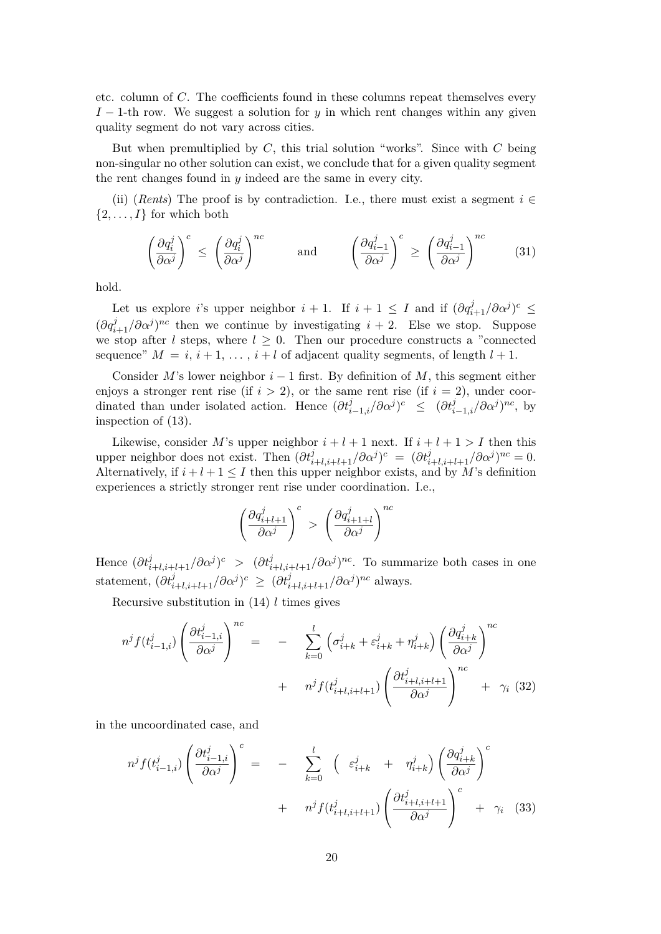etc. column of *C*. The coefficients found in these columns repeat themselves every *I* − 1-th row. We suggest a solution for *y* in which rent changes within any given quality segment do not vary across cities.

But when premultiplied by *C*, this trial solution "works". Since with *C* being non-singular no other solution can exist, we conclude that for a given quality segment the rent changes found in *y* indeed are the same in every city.

(ii) (*Rents*) The proof is by contradiction. I.e., there must exist a segment  $i \in$  $\{2, \ldots, I\}$  for which both

$$
\left(\frac{\partial q_i^j}{\partial \alpha^j}\right)^c \le \left(\frac{\partial q_i^j}{\partial \alpha^j}\right)^{nc} \quad \text{and} \quad \left(\frac{\partial q_{i-1}^j}{\partial \alpha^j}\right)^c \ge \left(\frac{\partial q_{i-1}^j}{\partial \alpha^j}\right)^{nc} \quad (31)
$$

hold.

Let us explore *i*'s upper neighbor  $i + 1$ . If  $i + 1 \leq I$  and if  $(\partial q_{i+1}^j / \partial \alpha^j)^c \leq$  $(\partial q_{i+1}^j/\partial \alpha^j)^{nc}$  then we continue by investigating  $i+2$ . Else we stop. Suppose we stop after *l* steps, where  $l \geq 0$ . Then our procedure constructs a "connected sequence"  $M = i, i + 1, \ldots, i + l$  of adjacent quality segments, of length  $l + 1$ .

Consider *M*'s lower neighbor *i* − 1 first. By definition of *M*, this segment either enjoys a stronger rent rise (if  $i > 2$ ), or the same rent rise (if  $i = 2$ ), under coordinated than under isolated action. Hence  $(\partial t_{i-1,i}^j/\partial \alpha^j)^c \leq (\partial t_{i-1,i}^j/\partial \alpha^j)^{nc}$ , by inspection of (13).

Likewise, consider *M*'s upper neighbor  $i + l + 1$  next. If  $i + l + 1 > I$  then this upper neighbor does not exist. Then  $(\partial t_{i+l,i+l+1}^j / \partial \alpha^j)^c = (\partial t_{i+l,i+l+1}^j / \partial \alpha^j)^{nc} = 0.$ Alternatively, if  $i + l + 1 \leq I$  then this upper neighbor exists, and by *M*'s definition experiences a strictly stronger rent rise under coordination. I.e.,

$$
\left(\frac{\partial q_{i+l+1}^j}{\partial \alpha^j}\right)^c \ > \ \left(\frac{\partial q_{i+1+l}^j}{\partial \alpha^j}\right)^{nc}
$$

Hence  $(\partial t_{i+l,i+l+1}^j/\partial \alpha^j)^c$  >  $(\partial t_{i+l,i+l+1}^j/\partial \alpha^j)^{nc}$ . To summarize both cases in one statement,  $(\partial t_{i+l,i+l+1}^j / \partial \alpha^j)^c \geq (\partial t_{i+l,i+l+1}^j / \partial \alpha^j)^{nc}$  always.

Recursive substitution in (14) *l* times gives

$$
n^{j} f(t_{i-1,i}^{j}) \left(\frac{\partial t_{i-1,i}^{j}}{\partial \alpha^{j}}\right)^{nc} = - \sum_{k=0}^{l} \left(\sigma_{i+k}^{j} + \varepsilon_{i+k}^{j} + \eta_{i+k}^{j}\right) \left(\frac{\partial q_{i+k}^{j}}{\partial \alpha^{j}}\right)^{nc} + n^{j} f(t_{i+l,i+l+1}^{j}) \left(\frac{\partial t_{i+l,i+l+1}^{j}}{\partial \alpha^{j}}\right)^{nc} + \gamma_{i} \tag{32}
$$

in the uncoordinated case, and

$$
n^{j} f(t_{i-1,i}^{j}) \left(\frac{\partial t_{i-1,i}^{j}}{\partial \alpha^{j}}\right)^{c} = - \sum_{k=0}^{l} \left(\varepsilon_{i+k}^{j} + \eta_{i+k}^{j}\right) \left(\frac{\partial q_{i+k}^{j}}{\partial \alpha^{j}}\right)^{c} + n^{j} f(t_{i+l,i+l+1}^{j}) \left(\frac{\partial t_{i+l,i+l+1}^{j}}{\partial \alpha^{j}}\right)^{c} + \gamma_{i} \quad (33)
$$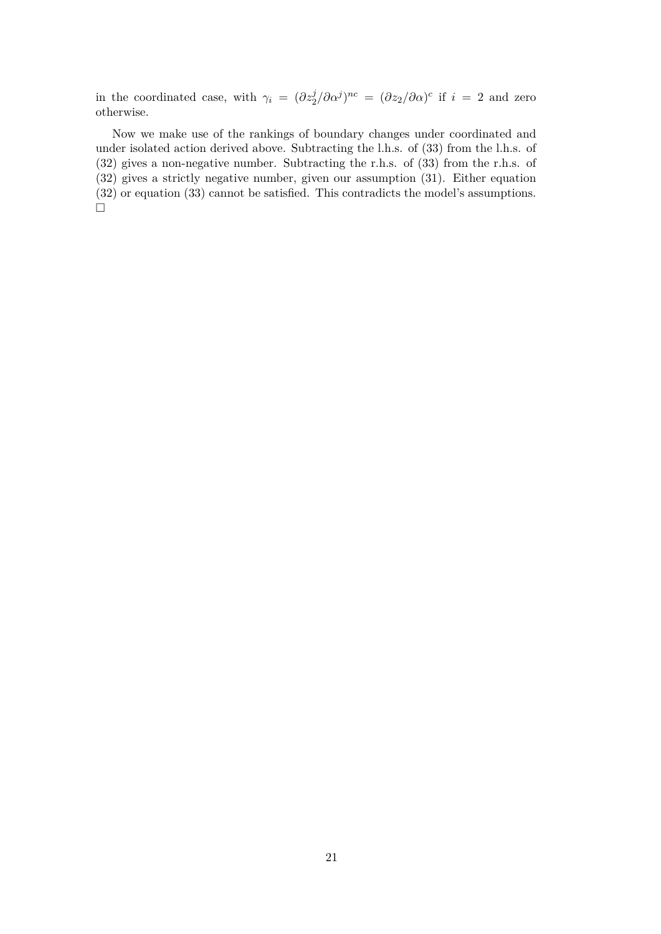in the coordinated case, with  $\gamma_i = (\partial z_2^j / \partial \alpha^j)^{nc} = (\partial z_2 / \partial \alpha)^c$  if  $i = 2$  and zero otherwise.

Now we make use of the rankings of boundary changes under coordinated and under isolated action derived above. Subtracting the l.h.s. of (33) from the l.h.s. of (32) gives a non-negative number. Subtracting the r.h.s. of (33) from the r.h.s. of (32) gives a strictly negative number, given our assumption (31). Either equation (32) or equation (33) cannot be satisfied. This contradicts the model's assumptions.  $\Box$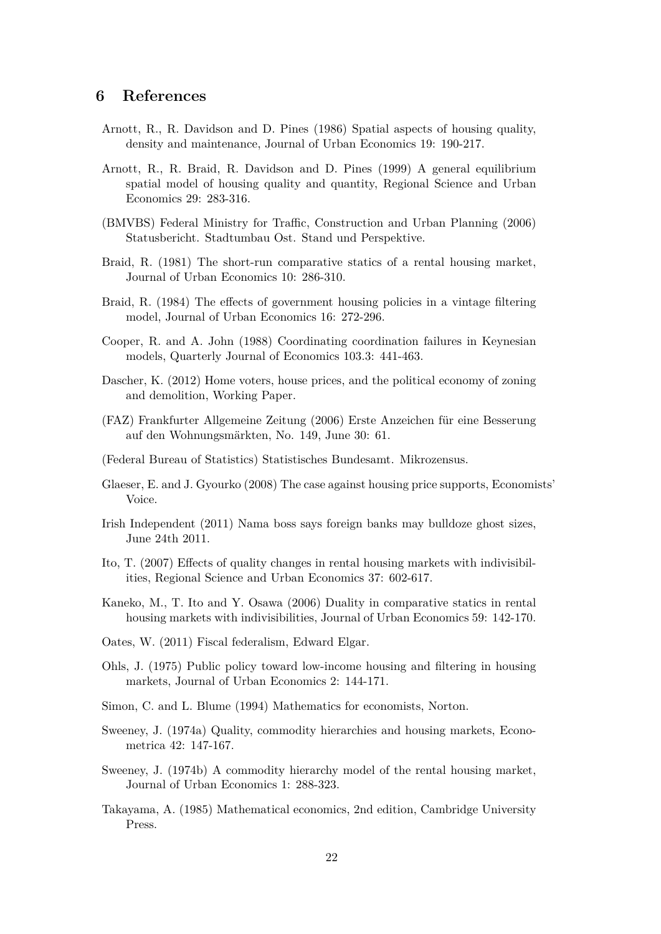### **6 References**

- Arnott, R., R. Davidson and D. Pines (1986) Spatial aspects of housing quality, density and maintenance, Journal of Urban Economics 19: 190-217.
- Arnott, R., R. Braid, R. Davidson and D. Pines (1999) A general equilibrium spatial model of housing quality and quantity, Regional Science and Urban Economics 29: 283-316.
- (BMVBS) Federal Ministry for Traffic, Construction and Urban Planning (2006) Statusbericht. Stadtumbau Ost. Stand und Perspektive.
- Braid, R. (1981) The short-run comparative statics of a rental housing market, Journal of Urban Economics 10: 286-310.
- Braid, R. (1984) The effects of government housing policies in a vintage filtering model, Journal of Urban Economics 16: 272-296.
- Cooper, R. and A. John (1988) Coordinating coordination failures in Keynesian models, Quarterly Journal of Economics 103.3: 441-463.
- Dascher, K. (2012) Home voters, house prices, and the political economy of zoning and demolition, Working Paper.
- (FAZ) Frankfurter Allgemeine Zeitung (2006) Erste Anzeichen für eine Besserung auf den Wohnungsmärkten, No. 149, June 30: 61.
- (Federal Bureau of Statistics) Statistisches Bundesamt. Mikrozensus.
- Glaeser, E. and J. Gyourko (2008) The case against housing price supports, Economists' Voice.
- Irish Independent (2011) Nama boss says foreign banks may bulldoze ghost sizes, June 24th 2011.
- Ito, T. (2007) Effects of quality changes in rental housing markets with indivisibilities, Regional Science and Urban Economics 37: 602-617.
- Kaneko, M., T. Ito and Y. Osawa (2006) Duality in comparative statics in rental housing markets with indivisibilities, Journal of Urban Economics 59: 142-170.
- Oates, W. (2011) Fiscal federalism, Edward Elgar.
- Ohls, J. (1975) Public policy toward low-income housing and filtering in housing markets, Journal of Urban Economics 2: 144-171.
- Simon, C. and L. Blume (1994) Mathematics for economists, Norton.
- Sweeney, J. (1974a) Quality, commodity hierarchies and housing markets, Econometrica 42: 147-167.
- Sweeney, J. (1974b) A commodity hierarchy model of the rental housing market, Journal of Urban Economics 1: 288-323.
- Takayama, A. (1985) Mathematical economics, 2nd edition, Cambridge University Press.